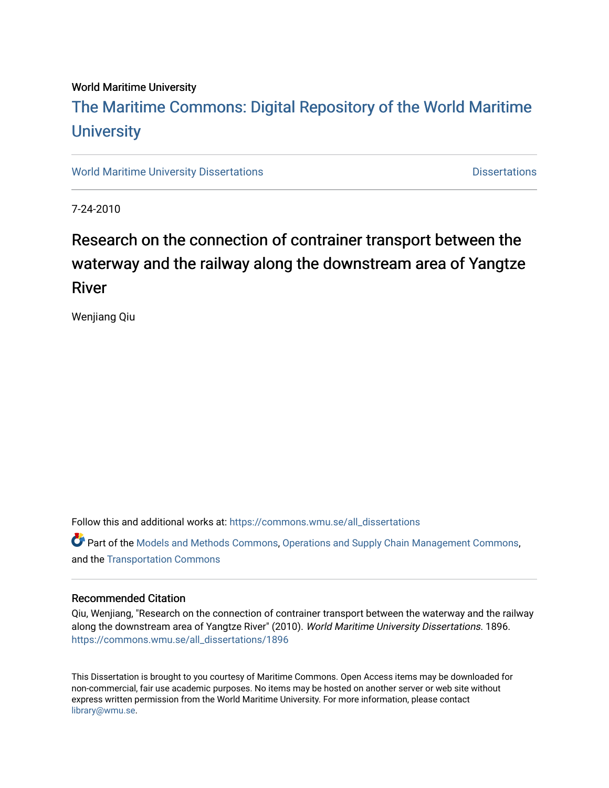# World Maritime University

# [The Maritime Commons: Digital Repository of the World Maritime](https://commons.wmu.se/)  **University**

[World Maritime University Dissertations](https://commons.wmu.se/all_dissertations) **Distributions** [Dissertations](https://commons.wmu.se/dissertations) Dissertations

7-24-2010

# Research on the connection of contrainer transport between the waterway and the railway along the downstream area of Yangtze River

Wenjiang Qiu

Follow this and additional works at: [https://commons.wmu.se/all\\_dissertations](https://commons.wmu.se/all_dissertations?utm_source=commons.wmu.se%2Fall_dissertations%2F1896&utm_medium=PDF&utm_campaign=PDFCoverPages) 

**P** Part of the [Models and Methods Commons,](http://network.bepress.com/hgg/discipline/390?utm_source=commons.wmu.se%2Fall_dissertations%2F1896&utm_medium=PDF&utm_campaign=PDFCoverPages) [Operations and Supply Chain Management Commons,](http://network.bepress.com/hgg/discipline/1229?utm_source=commons.wmu.se%2Fall_dissertations%2F1896&utm_medium=PDF&utm_campaign=PDFCoverPages) and the [Transportation Commons](http://network.bepress.com/hgg/discipline/1068?utm_source=commons.wmu.se%2Fall_dissertations%2F1896&utm_medium=PDF&utm_campaign=PDFCoverPages) 

# Recommended Citation

Qiu, Wenjiang, "Research on the connection of contrainer transport between the waterway and the railway along the downstream area of Yangtze River" (2010). World Maritime University Dissertations. 1896. [https://commons.wmu.se/all\\_dissertations/1896](https://commons.wmu.se/all_dissertations/1896?utm_source=commons.wmu.se%2Fall_dissertations%2F1896&utm_medium=PDF&utm_campaign=PDFCoverPages)

This Dissertation is brought to you courtesy of Maritime Commons. Open Access items may be downloaded for non-commercial, fair use academic purposes. No items may be hosted on another server or web site without express written permission from the World Maritime University. For more information, please contact [library@wmu.se](mailto:library@wmu.edu).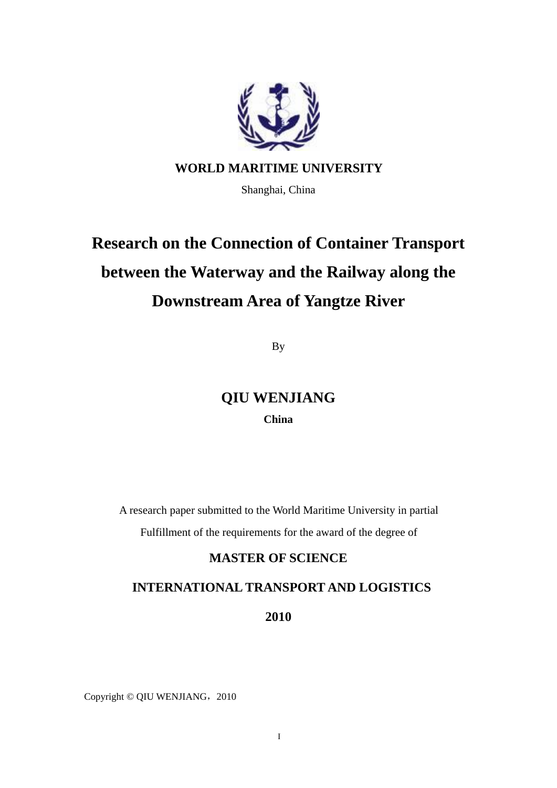

# **Research on the Connection of Container Transport between the Waterway and the Railway along the Downstream Area of Yangtze River**

By

**QIU WENJIANG China** 

A research paper submitted to the World Maritime University in partial

Fulfillment of the requirements for the award of the degree of

# **MASTER OF SCIENCE**

# **INTERNATIONAL TRANSPORT AND LOGISTICS**

**2010** 

Copyright © QIU WENJIANG, 2010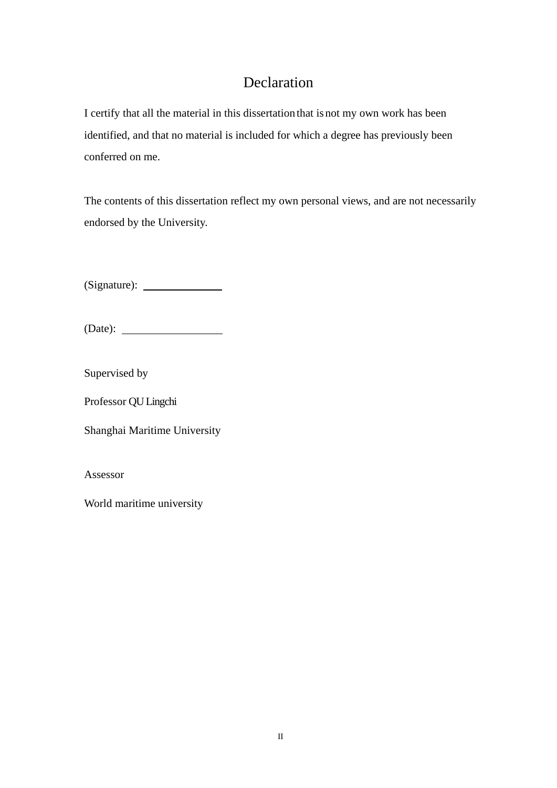# Declaration

I certify that all the material in this dissertation that is not my own work has been identified, and that no material is included for which a degree has previously been conferred on me.

The contents of this dissertation reflect my own personal views, and are not necessarily endorsed by the University.

(Signature):

(Date):

Supervised by

Professor QU Lingchi

Shanghai Maritime University

Assessor

World maritime university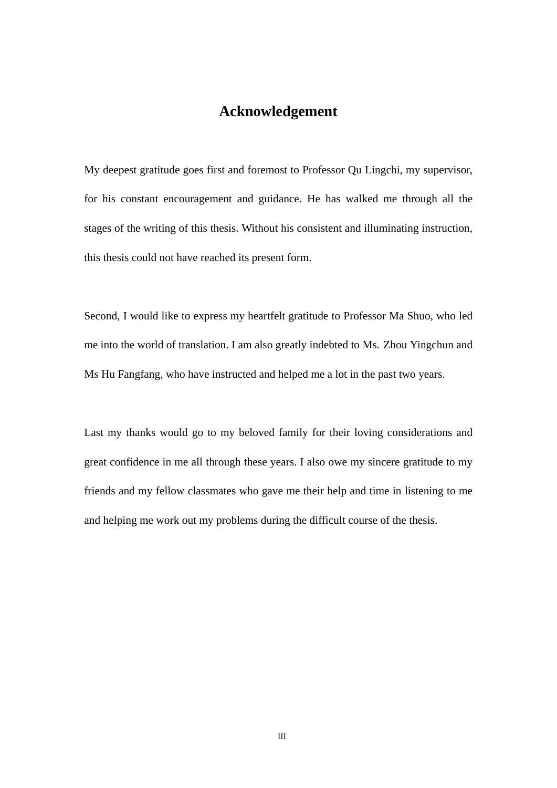# **Acknowledgement**

My deepest gratitude goes first and foremost to Professor Qu Lingchi, my supervisor, for his constant encouragement and guidance. He has walked me through all the stages of the writing of this thesis. Without his consistent and illuminating instruction, this thesis could not have reached its present form.

Second, I would like to express my heartfelt gratitude to Professor Ma Shuo, who led me into the world of translation. I am also greatly indebted to Ms. Zhou Yingchun and Ms Hu Fangfang, who have instructed and helped me a lot in the past two years.

Last my thanks would go to my beloved family for their loving considerations and great confidence in me all through these years. I also owe my sincere gratitude to my friends and my fellow classmates who gave me their help and time in listening to me and helping me work out my problems during the difficult course of the thesis.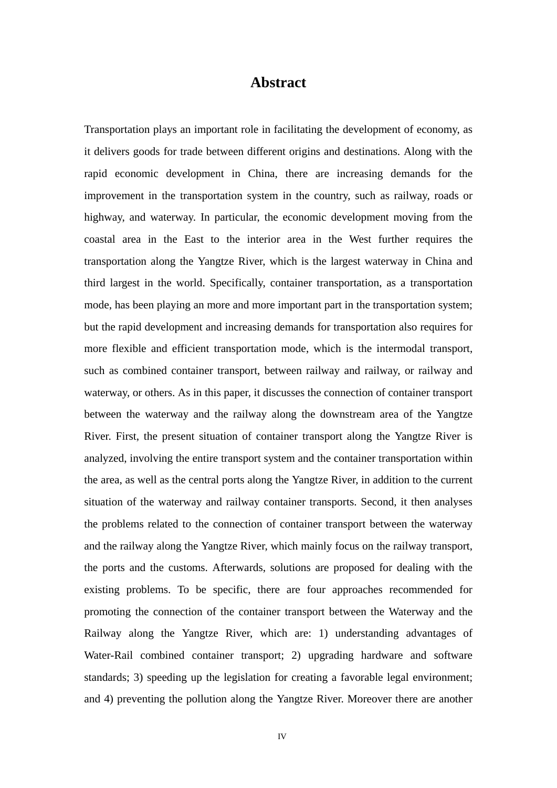# **Abstract**

Transportation plays an important role in facilitating the development of economy, as it delivers goods for trade between different origins and destinations. Along with the rapid economic development in China, there are increasing demands for the improvement in the transportation system in the country, such as railway, roads or highway, and waterway. In particular, the economic development moving from the coastal area in the East to the interior area in the West further requires the transportation along the Yangtze River, which is the largest waterway in China and third largest in the world. Specifically, container transportation, as a transportation mode, has been playing an more and more important part in the transportation system; but the rapid development and increasing demands for transportation also requires for more flexible and efficient transportation mode, which is the intermodal transport, such as combined container transport, between railway and railway, or railway and waterway, or others. As in this paper, it discusses the connection of container transport between the waterway and the railway along the downstream area of the Yangtze River. First, the present situation of container transport along the Yangtze River is analyzed, involving the entire transport system and the container transportation within the area, as well as the central ports along the Yangtze River, in addition to the current situation of the waterway and railway container transports. Second, it then analyses the problems related to the connection of container transport between the waterway and the railway along the Yangtze River, which mainly focus on the railway transport, the ports and the customs. Afterwards, solutions are proposed for dealing with the existing problems. To be specific, there are four approaches recommended for promoting the connection of the container transport between the Waterway and the Railway along the Yangtze River, which are: 1) understanding advantages of Water-Rail combined container transport; 2) upgrading hardware and software standards; 3) speeding up the legislation for creating a favorable legal environment; and 4) preventing the pollution along the Yangtze River. Moreover there are another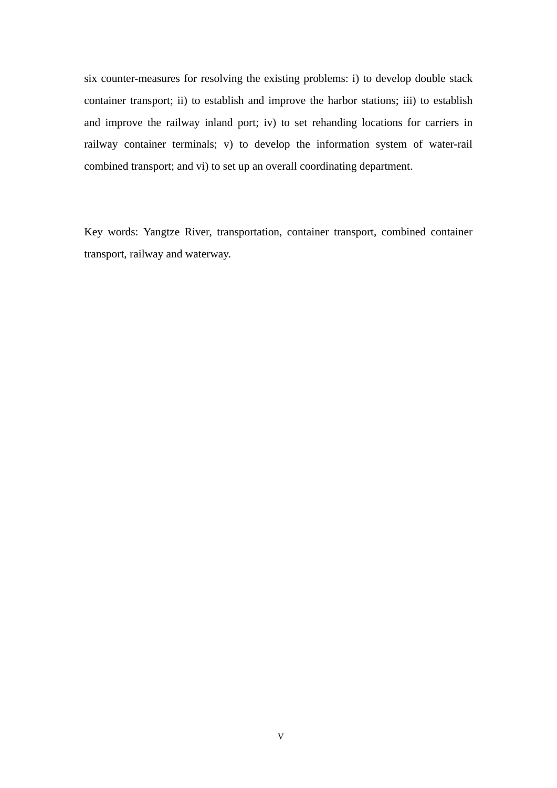six counter-measures for resolving the existing problems: i) to develop double stack container transport; ii) to establish and improve the harbor stations; iii) to establish and improve the railway inland port; iv) to set rehanding locations for carriers in railway container terminals; v) to develop the information system of water-rail combined transport; and vi) to set up an overall coordinating department.

Key words: Yangtze River, transportation, container transport, combined container transport, railway and waterway.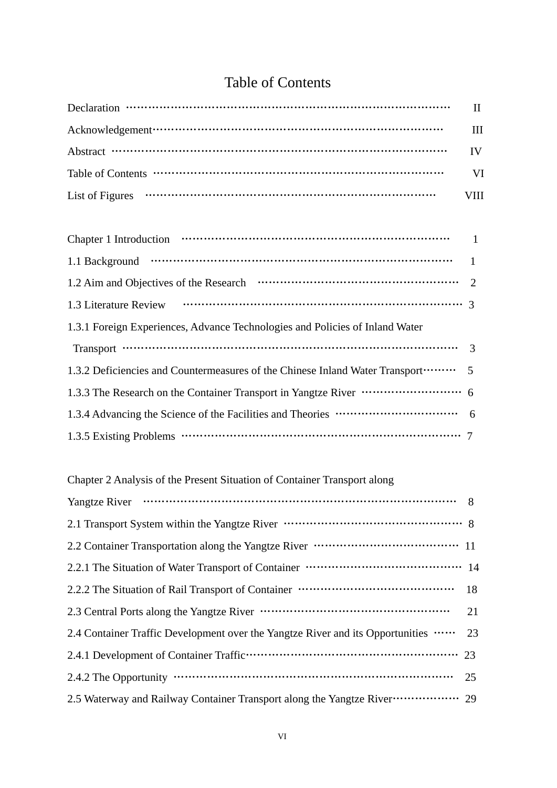# Table of Contents

| Declaration $\cdots$ $\cdots$ $\cdots$ $\cdots$ $\cdots$ $\cdots$ $\cdots$ $\cdots$ $\cdots$ $\cdots$ $\cdots$ $\cdots$ $\cdots$ $\cdots$ $\cdots$ $\cdots$ $\cdots$ $\cdots$ |                         |
|-------------------------------------------------------------------------------------------------------------------------------------------------------------------------------|-------------------------|
|                                                                                                                                                                               | III                     |
|                                                                                                                                                                               | $\mathbf{I} \mathbf{V}$ |
|                                                                                                                                                                               | <b>VI</b>               |
|                                                                                                                                                                               | VIII                    |

| 1.1 Background $\cdots$ $\cdots$ $\cdots$ $\cdots$ $\cdots$ $\cdots$ $\cdots$ $\cdots$ $\cdots$ $\cdots$ $\cdots$ $\cdots$ $\cdots$ $\cdots$ $\cdots$ $\cdots$ $\cdots$                                                                                                                                                              |  |
|--------------------------------------------------------------------------------------------------------------------------------------------------------------------------------------------------------------------------------------------------------------------------------------------------------------------------------------|--|
|                                                                                                                                                                                                                                                                                                                                      |  |
|                                                                                                                                                                                                                                                                                                                                      |  |
| 1.3.1 Foreign Experiences, Advance Technologies and Policies of Inland Water                                                                                                                                                                                                                                                         |  |
| Transport $\cdots$ $\cdots$ $\cdots$ $\cdots$ $\cdots$ $\cdots$ $\cdots$ $\cdots$ $\cdots$ $\cdots$ $\cdots$ $\cdots$ $\cdots$ $\cdots$ $\cdots$ $\cdots$ $\cdots$ $\cdots$ $\cdots$ $\cdots$ $\cdots$ $\cdots$ $\cdots$ $\cdots$ $\cdots$ $\cdots$ $\cdots$ $\cdots$ $\cdots$ $\cdots$ $\cdots$ $\cdots$ $\cdots$ $\cdots$ $\cdots$ |  |
| 1.3.2 Deficiencies and Countermeasures of the Chinese Inland Water Transport ········· 5                                                                                                                                                                                                                                             |  |
|                                                                                                                                                                                                                                                                                                                                      |  |
|                                                                                                                                                                                                                                                                                                                                      |  |
|                                                                                                                                                                                                                                                                                                                                      |  |

Chapter 2 Analysis of the Present Situation of Container Transport along Yangtze River ………………………………………………………………………… 8 2.1 Transport System within the Yangtze River ………………………………………… 8 2.2 Container Transportation along the Yangtze River ………………………………… 11 2.2.1 The Situation of Water Transport of Container …………………………………… 14 2.2.2 The Situation of Rail Transport of Container …………………………………… 18 2.3 Central Ports along the Yangtze River …………………………………………… 21 2.4 Container Traffic Development over the Yangtze River and its Opportunities …… 23 2.4.1 Development of Container Traffic………………………………………………… 23 2.4.2 The Opportunity ………………………………………………………………… 25 2.5 Waterway and Railway Container Transport along the Yangtze River……………… 29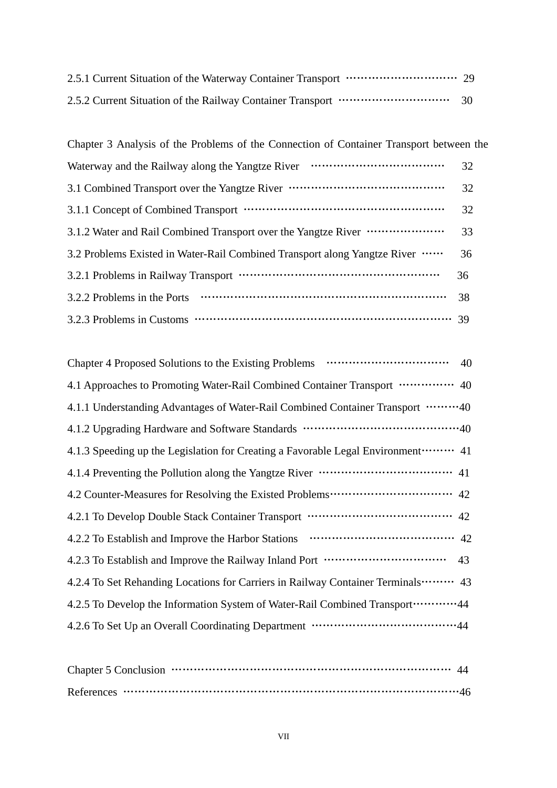| Chapter 3 Analysis of the Problems of the Connection of Container Transport between the |    |
|-----------------------------------------------------------------------------------------|----|
|                                                                                         | 32 |
|                                                                                         | 32 |
|                                                                                         | 32 |
|                                                                                         | 33 |
| 3.2 Problems Existed in Water-Rail Combined Transport along Yangtze River               | 36 |
|                                                                                         | 36 |
| 3.2.2 Problems in the Ports                                                             | 38 |
|                                                                                         |    |

| 4.1 Approaches to Promoting Water-Rail Combined Container Transport …………… 40                |
|---------------------------------------------------------------------------------------------|
| 4.1.1 Understanding Advantages of Water-Rail Combined Container Transport ………40             |
|                                                                                             |
| 4.1.3 Speeding up the Legislation for Creating a Favorable Legal Environment ········ 41    |
|                                                                                             |
| 4.2 Counter-Measures for Resolving the Existed Problems ································ 42 |
|                                                                                             |
|                                                                                             |
| 4.2.3 To Establish and Improve the Railway Inland Port ································· 43 |
| 4.2.4 To Set Rehanding Locations for Carriers in Railway Container Terminals  43            |
| 4.2.5 To Develop the Information System of Water-Rail Combined Transport  44                |
|                                                                                             |

| References ……………………………………………………………………………………46 |  |
|-----------------------------------------------|--|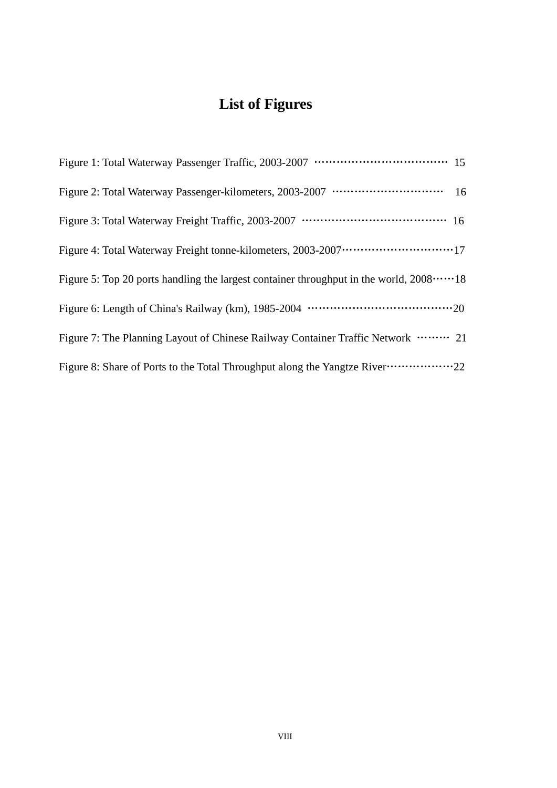# **List of Figures**

| Figure 2: Total Waterway Passenger-kilometers, 2003-2007 ····························· 16        |
|--------------------------------------------------------------------------------------------------|
|                                                                                                  |
|                                                                                                  |
| Figure 5: Top 20 ports handling the largest container throughput in the world, $2008$ $\dots$ 18 |
|                                                                                                  |
| Figure 7: The Planning Layout of Chinese Railway Container Traffic Network ……… 21                |
| Figure 8: Share of Ports to the Total Throughput along the Yangtze River ·····················22 |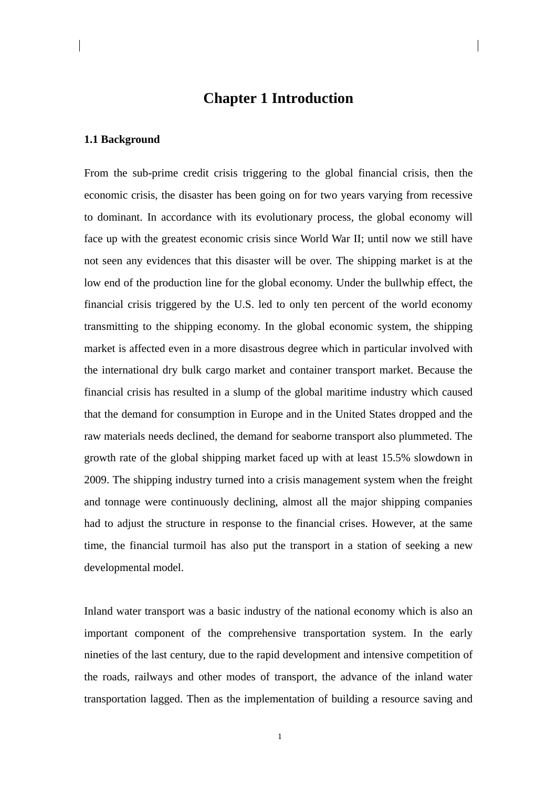# **Chapter 1 Introduction**

#### **1.1 Background**

From the sub-prime credit crisis triggering to the global financial crisis, then the economic crisis, the disaster has been going on for two years varying from recessive to dominant. In accordance with its evolutionary process, the global economy will face up with the greatest economic crisis since World War II; until now we still have not seen any evidences that this disaster will be over. The shipping market is at the low end of the production line for the global economy. Under the bullwhip effect, the financial crisis triggered by the U.S. led to only ten percent of the world economy transmitting to the shipping economy. In the global economic system, the shipping market is affected even in a more disastrous degree which in particular involved with the international dry bulk cargo market and container transport market. Because the financial crisis has resulted in a slump of the global maritime industry which caused that the demand for consumption in Europe and in the United States dropped and the raw materials needs declined, the demand for seaborne transport also plummeted. The growth rate of the global shipping market faced up with at least 15.5% slowdown in 2009. The shipping industry turned into a crisis management system when the freight and tonnage were continuously declining, almost all the major shipping companies had to adjust the structure in response to the financial crises. However, at the same time, the financial turmoil has also put the transport in a station of seeking a new developmental model.

Inland water transport was a basic industry of the national economy which is also an important component of the comprehensive transportation system. In the early nineties of the last century, due to the rapid development and intensive competition of the roads, railways and other modes of transport, the advance of the inland water transportation lagged. Then as the implementation of building a resource saving and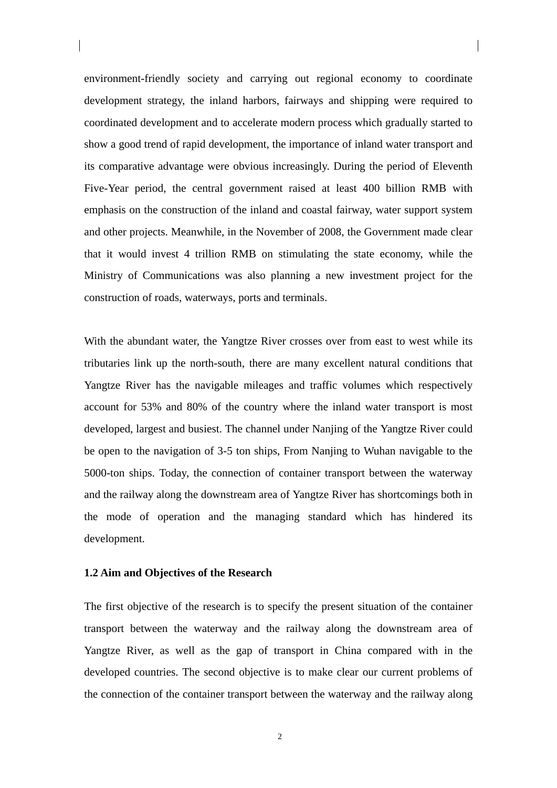environment-friendly society and carrying out regional economy to coordinate development strategy, the inland harbors, fairways and shipping were required to coordinated development and to accelerate modern process which gradually started to show a good trend of rapid development, the importance of inland water transport and its comparative advantage were obvious increasingly. During the period of Eleventh Five-Year period, the central government raised at least 400 billion RMB with emphasis on the construction of the inland and coastal fairway, water support system and other projects. Meanwhile, in the November of 2008, the Government made clear that it would invest 4 trillion RMB on stimulating the state economy, while the Ministry of Communications was also planning a new investment project for the construction of roads, waterways, ports and terminals.

With the abundant water, the Yangtze River crosses over from east to west while its tributaries link up the north-south, there are many excellent natural conditions that Yangtze River has the navigable mileages and traffic volumes which respectively account for 53% and 80% of the country where the inland water transport is most developed, largest and busiest. The channel under Nanjing of the Yangtze River could be open to the navigation of 3-5 ton ships, From Nanjing to Wuhan navigable to the 5000-ton ships. Today, the connection of container transport between the waterway and the railway along the downstream area of Yangtze River has shortcomings both in the mode of operation and the managing standard which has hindered its development.

## **1.2 Aim and Objectives of the Research**

The first objective of the research is to specify the present situation of the container transport between the waterway and the railway along the downstream area of Yangtze River, as well as the gap of transport in China compared with in the developed countries. The second objective is to make clear our current problems of the connection of the container transport between the waterway and the railway along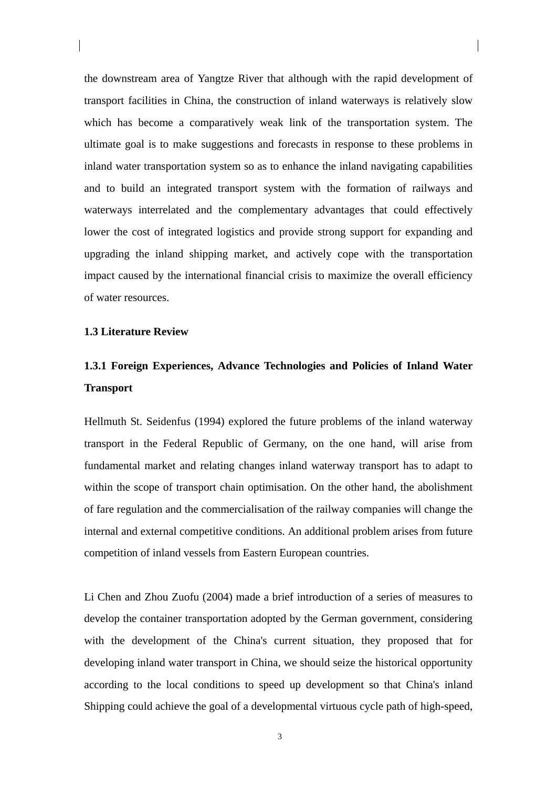the downstream area of Yangtze River that although with the rapid development of transport facilities in China, the construction of inland waterways is relatively slow which has become a comparatively weak link of the transportation system. The ultimate goal is to make suggestions and forecasts in response to these problems in inland water transportation system so as to enhance the inland navigating capabilities and to build an integrated transport system with the formation of railways and waterways interrelated and the complementary advantages that could effectively lower the cost of integrated logistics and provide strong support for expanding and upgrading the inland shipping market, and actively cope with the transportation impact caused by the international financial crisis to maximize the overall efficiency of water resources.

### **1.3 Literature Review**

# **1.3.1 Foreign Experiences, Advance Technologies and Policies of Inland Water Transport**

Hellmuth St. Seidenfus (1994) explored the future problems of the inland waterway transport in the Federal Republic of Germany, on the one hand, will arise from fundamental market and relating changes inland waterway transport has to adapt to within the scope of transport chain optimisation. On the other hand, the abolishment of fare regulation and the commercialisation of the railway companies will change the internal and external competitive conditions. An additional problem arises from future competition of inland vessels from Eastern European countries.

Li Chen and Zhou Zuofu (2004) made a brief introduction of a series of measures to develop the container transportation adopted by the German government, considering with the development of the China's current situation, they proposed that for developing inland water transport in China, we should seize the historical opportunity according to the local conditions to speed up development so that China's inland Shipping could achieve the goal of a developmental virtuous cycle path of high-speed,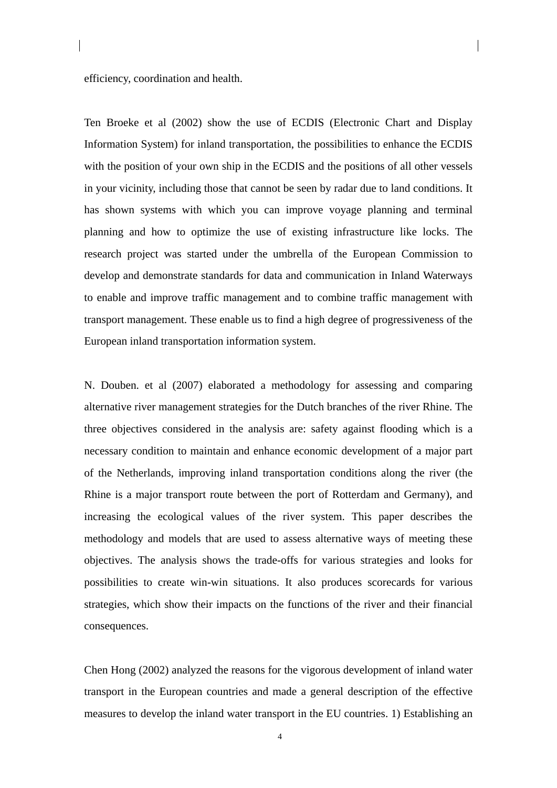efficiency, coordination and health.

Ten Broeke et al (2002) show the use of ECDIS (Electronic Chart and Display Information System) for inland transportation, the possibilities to enhance the ECDIS with the position of your own ship in the ECDIS and the positions of all other vessels in your vicinity, including those that cannot be seen by radar due to land conditions. It has shown systems with which you can improve voyage planning and terminal planning and how to optimize the use of existing infrastructure like locks. The research project was started under the umbrella of the European Commission to develop and demonstrate standards for data and communication in Inland Waterways to enable and improve traffic management and to combine traffic management with transport management. These enable us to find a high degree of progressiveness of the European inland transportation information system.

N. Douben. et al (2007) elaborated a methodology for assessing and comparing alternative river management strategies for the Dutch branches of the river Rhine. The three objectives considered in the analysis are: safety against flooding which is a necessary condition to maintain and enhance economic development of a major part of the Netherlands, improving inland transportation conditions along the river (the Rhine is a major transport route between the port of Rotterdam and Germany), and increasing the ecological values of the river system. This paper describes the methodology and models that are used to assess alternative ways of meeting these objectives. The analysis shows the trade-offs for various strategies and looks for possibilities to create win-win situations. It also produces scorecards for various strategies, which show their impacts on the functions of the river and their financial consequences.

Chen Hong (2002) analyzed the reasons for the vigorous development of inland water transport in the European countries and made a general description of the effective measures to develop the inland water transport in the EU countries. 1) Establishing an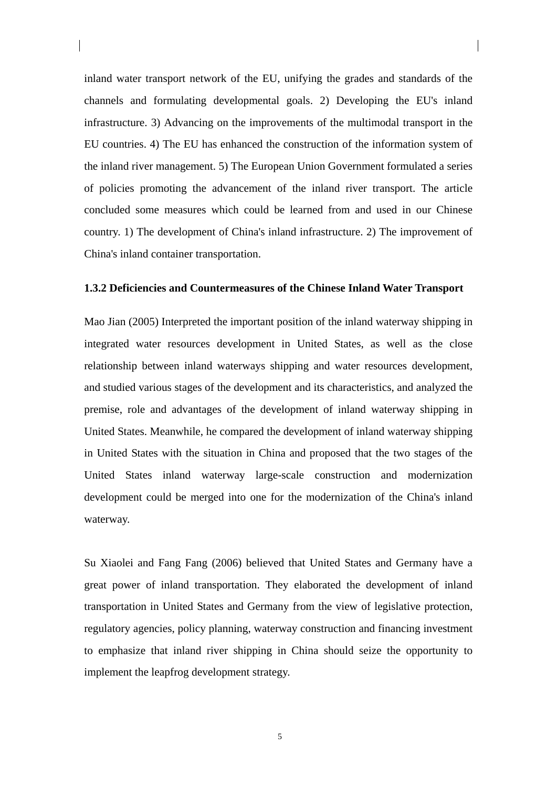inland water transport network of the EU, unifying the grades and standards of the channels and formulating developmental goals. 2) Developing the EU's inland infrastructure. 3) Advancing on the improvements of the multimodal transport in the EU countries. 4) The EU has enhanced the construction of the information system of the inland river management. 5) The European Union Government formulated a series of policies promoting the advancement of the inland river transport. The article concluded some measures which could be learned from and used in our Chinese country. 1) The development of China's inland infrastructure. 2) The improvement of China's inland container transportation.

### **1.3.2 Deficiencies and Countermeasures of the Chinese Inland Water Transport**

Mao Jian (2005) Interpreted the important position of the inland waterway shipping in integrated water resources development in United States, as well as the close relationship between inland waterways shipping and water resources development, and studied various stages of the development and its characteristics, and analyzed the premise, role and advantages of the development of inland waterway shipping in United States. Meanwhile, he compared the development of inland waterway shipping in United States with the situation in China and proposed that the two stages of the United States inland waterway large-scale construction and modernization development could be merged into one for the modernization of the China's inland waterway.

Su Xiaolei and Fang Fang (2006) believed that United States and Germany have a great power of inland transportation. They elaborated the development of inland transportation in United States and Germany from the view of legislative protection, regulatory agencies, policy planning, waterway construction and financing investment to emphasize that inland river shipping in China should seize the opportunity to implement the leapfrog development strategy.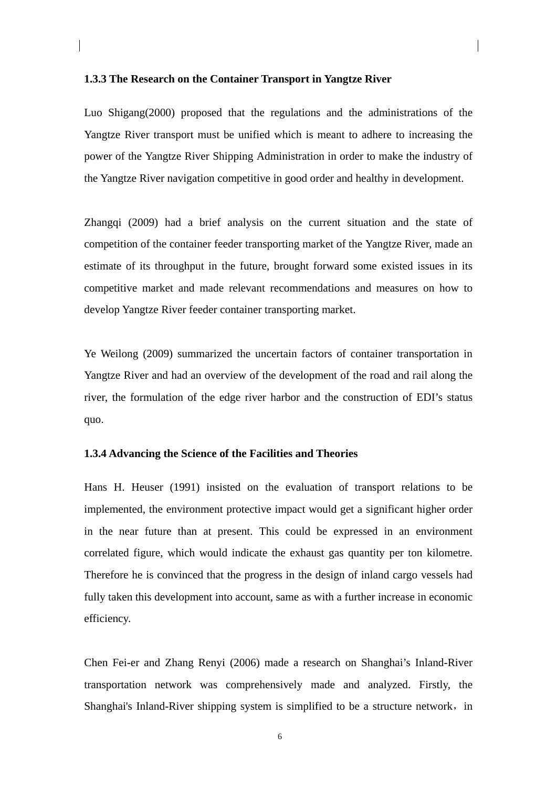#### **1.3.3 The Research on the Container Transport in Yangtze River**

Luo Shigang(2000) proposed that the regulations and the administrations of the Yangtze River transport must be unified which is meant to adhere to increasing the power of the Yangtze River Shipping Administration in order to make the industry of the Yangtze River navigation competitive in good order and healthy in development.

Zhangqi (2009) had a brief analysis on the current situation and the state of competition of the container feeder transporting market of the Yangtze River, made an estimate of its throughput in the future, brought forward some existed issues in its competitive market and made relevant recommendations and measures on how to develop Yangtze River feeder container transporting market.

Ye Weilong (2009) summarized the uncertain factors of container transportation in Yangtze River and had an overview of the development of the road and rail along the river, the formulation of the edge river harbor and the construction of EDI's status quo.

#### **1.3.4 Advancing the Science of the Facilities and Theories**

Hans H. Heuser (1991) insisted on the evaluation of transport relations to be implemented, the environment protective impact would get a significant higher order in the near future than at present. This could be expressed in an environment correlated figure, which would indicate the exhaust gas quantity per ton kilometre. Therefore he is convinced that the progress in the design of inland cargo vessels had fully taken this development into account, same as with a further increase in economic efficiency.

Chen Fei-er and Zhang Renyi (2006) made a research on Shanghai's Inland-River transportation network was comprehensively made and analyzed. Firstly, the Shanghai's Inland-River shipping system is simplified to be a structure network, in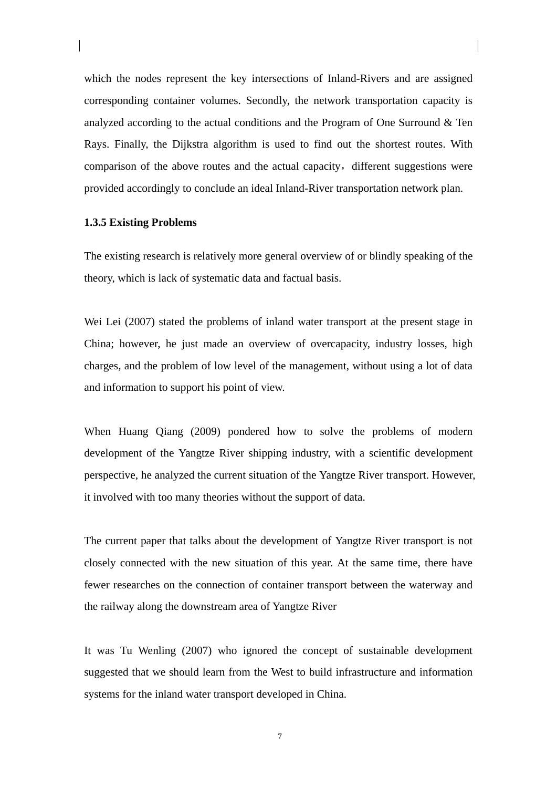which the nodes represent the key intersections of Inland-Rivers and are assigned corresponding container volumes. Secondly, the network transportation capacity is analyzed according to the actual conditions and the Program of One Surround & Ten Rays. Finally, the Dijkstra algorithm is used to find out the shortest routes. With comparison of the above routes and the actual capacity, different suggestions were provided accordingly to conclude an ideal Inland-River transportation network plan.

# **1.3.5 Existing Problems**

The existing research is relatively more general overview of or blindly speaking of the theory, which is lack of systematic data and factual basis.

Wei Lei (2007) stated the problems of inland water transport at the present stage in China; however, he just made an overview of overcapacity, industry losses, high charges, and the problem of low level of the management, without using a lot of data and information to support his point of view.

When Huang Qiang (2009) pondered how to solve the problems of modern development of the Yangtze River shipping industry, with a scientific development perspective, he analyzed the current situation of the Yangtze River transport. However, it involved with too many theories without the support of data.

The current paper that talks about the development of Yangtze River transport is not closely connected with the new situation of this year. At the same time, there have fewer researches on the connection of container transport between the waterway and the railway along the downstream area of Yangtze River

It was Tu Wenling (2007) who ignored the concept of sustainable development suggested that we should learn from the West to build infrastructure and information systems for the inland water transport developed in China.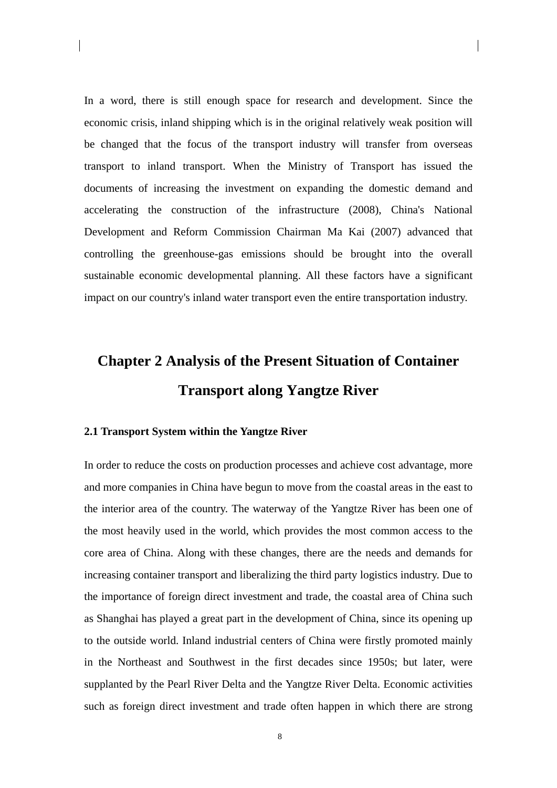In a word, there is still enough space for research and development. Since the economic crisis, inland shipping which is in the original relatively weak position will be changed that the focus of the transport industry will transfer from overseas transport to inland transport. When the Ministry of Transport has issued the documents of increasing the investment on expanding the domestic demand and accelerating the construction of the infrastructure (2008), China's National Development and Reform Commission Chairman Ma Kai (2007) advanced that controlling the greenhouse-gas emissions should be brought into the overall sustainable economic developmental planning. All these factors have a significant impact on our country's inland water transport even the entire transportation industry.

# **Chapter 2 Analysis of the Present Situation of Container Transport along Yangtze River**

# **2.1 Transport System within the Yangtze River**

In order to reduce the costs on production processes and achieve cost advantage, more and more companies in China have begun to move from the coastal areas in the east to the interior area of the country. The waterway of the Yangtze River has been one of the most heavily used in the world, which provides the most common access to the core area of China. Along with these changes, there are the needs and demands for increasing container transport and liberalizing the third party logistics industry. Due to the importance of foreign direct investment and trade, the coastal area of China such as Shanghai has played a great part in the development of China, since its opening up to the outside world. Inland industrial centers of China were firstly promoted mainly in the Northeast and Southwest in the first decades since 1950s; but later, were supplanted by the Pearl River Delta and the Yangtze River Delta. Economic activities such as foreign direct investment and trade often happen in which there are strong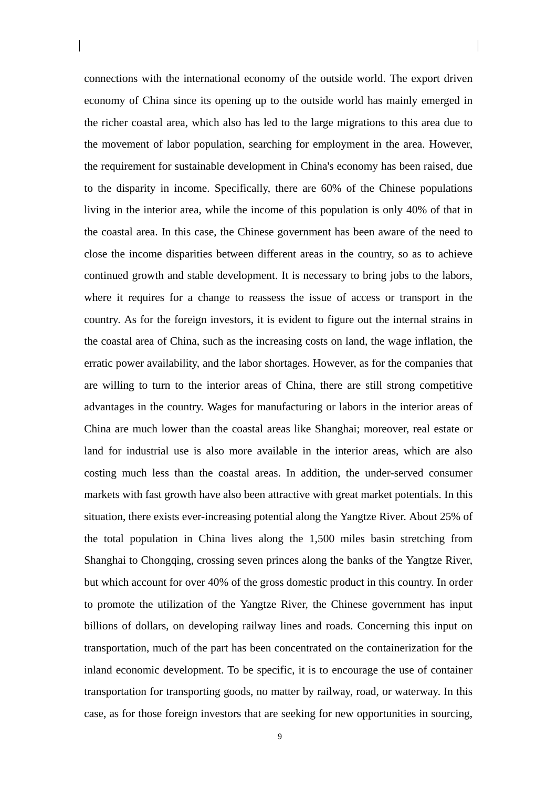connections with the international economy of the outside world. The export driven economy of China since its opening up to the outside world has mainly emerged in the richer coastal area, which also has led to the large migrations to this area due to the movement of labor population, searching for employment in the area. However, the requirement for sustainable development in China's economy has been raised, due to the disparity in income. Specifically, there are 60% of the Chinese populations living in the interior area, while the income of this population is only 40% of that in the coastal area. In this case, the Chinese government has been aware of the need to close the income disparities between different areas in the country, so as to achieve continued growth and stable development. It is necessary to bring jobs to the labors, where it requires for a change to reassess the issue of access or transport in the country. As for the foreign investors, it is evident to figure out the internal strains in the coastal area of China, such as the increasing costs on land, the wage inflation, the erratic power availability, and the labor shortages. However, as for the companies that are willing to turn to the interior areas of China, there are still strong competitive advantages in the country. Wages for manufacturing or labors in the interior areas of China are much lower than the coastal areas like Shanghai; moreover, real estate or land for industrial use is also more available in the interior areas, which are also costing much less than the coastal areas. In addition, the under-served consumer markets with fast growth have also been attractive with great market potentials. In this situation, there exists ever-increasing potential along the Yangtze River. About 25% of the total population in China lives along the 1,500 miles basin stretching from Shanghai to Chongqing, crossing seven princes along the banks of the Yangtze River, but which account for over 40% of the gross domestic product in this country. In order to promote the utilization of the Yangtze River, the Chinese government has input billions of dollars, on developing railway lines and roads. Concerning this input on transportation, much of the part has been concentrated on the containerization for the inland economic development. To be specific, it is to encourage the use of container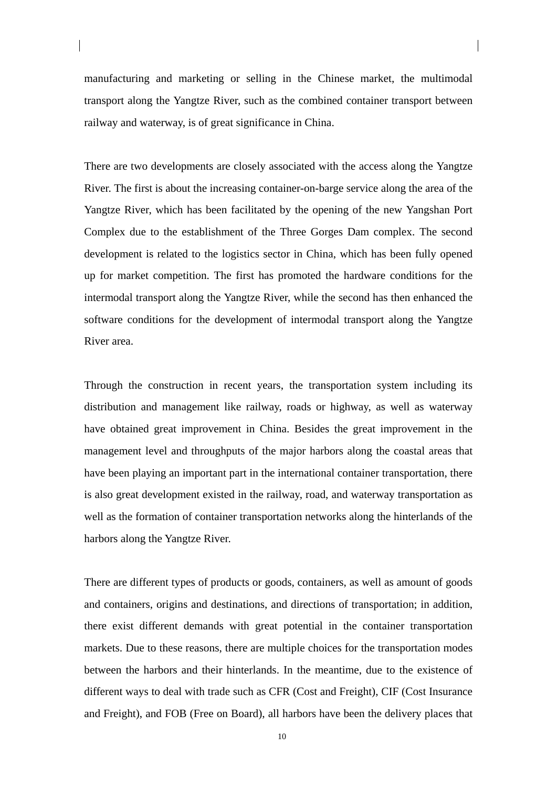manufacturing and marketing or selling in the Chinese market, the multimodal transport along the Yangtze River, such as the combined container transport between railway and waterway, is of great significance in China.

There are two developments are closely associated with the access along the Yangtze River. The first is about the increasing container-on-barge service along the area of the Yangtze River, which has been facilitated by the opening of the new Yangshan Port Complex due to the establishment of the Three Gorges Dam complex. The second development is related to the logistics sector in China, which has been fully opened up for market competition. The first has promoted the hardware conditions for the intermodal transport along the Yangtze River, while the second has then enhanced the software conditions for the development of intermodal transport along the Yangtze River area.

Through the construction in recent years, the transportation system including its distribution and management like railway, roads or highway, as well as waterway have obtained great improvement in China. Besides the great improvement in the management level and throughputs of the major harbors along the coastal areas that have been playing an important part in the international container transportation, there is also great development existed in the railway, road, and waterway transportation as well as the formation of container transportation networks along the hinterlands of the harbors along the Yangtze River.

There are different types of products or goods, containers, as well as amount of goods and containers, origins and destinations, and directions of transportation; in addition, there exist different demands with great potential in the container transportation markets. Due to these reasons, there are multiple choices for the transportation modes between the harbors and their hinterlands. In the meantime, due to the existence of different ways to deal with trade such as CFR (Cost and Freight), CIF (Cost Insurance and Freight), and FOB (Free on Board), all harbors have been the delivery places that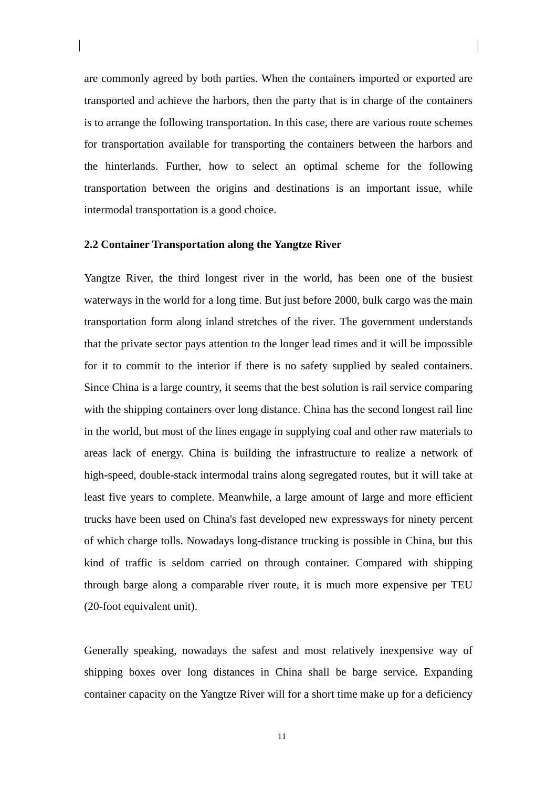are commonly agreed by both parties. When the containers imported or exported are transported and achieve the harbors, then the party that is in charge of the containers is to arrange the following transportation. In this case, there are various route schemes for transportation available for transporting the containers between the harbors and the hinterlands. Further, how to select an optimal scheme for the following transportation between the origins and destinations is an important issue, while intermodal transportation is a good choice.

## **2.2 Container Transportation along the Yangtze River**

Yangtze River, the third longest river in the world, has been one of the busiest waterways in the world for a long time. But just before 2000, bulk cargo was the main transportation form along inland stretches of the river. The government understands that the private sector pays attention to the longer lead times and it will be impossible for it to commit to the interior if there is no safety supplied by sealed containers. Since China is a large country, it seems that the best solution is rail service comparing with the shipping containers over long distance. China has the second longest rail line in the world, but most of the lines engage in supplying coal and other raw materials to areas lack of energy. China is building the infrastructure to realize a network of high-speed, double-stack intermodal trains along segregated routes, but it will take at least five years to complete. Meanwhile, a large amount of large and more efficient trucks have been used on China's fast developed new expressways for ninety percent of which charge tolls. Nowadays long-distance trucking is possible in China, but this kind of traffic is seldom carried on through container. Compared with shipping through barge along a comparable river route, it is much more expensive per TEU (20-foot equivalent unit).

Generally speaking, nowadays the safest and most relatively inexpensive way of shipping boxes over long distances in China shall be barge service. Expanding container capacity on the Yangtze River will for a short time make up for a deficiency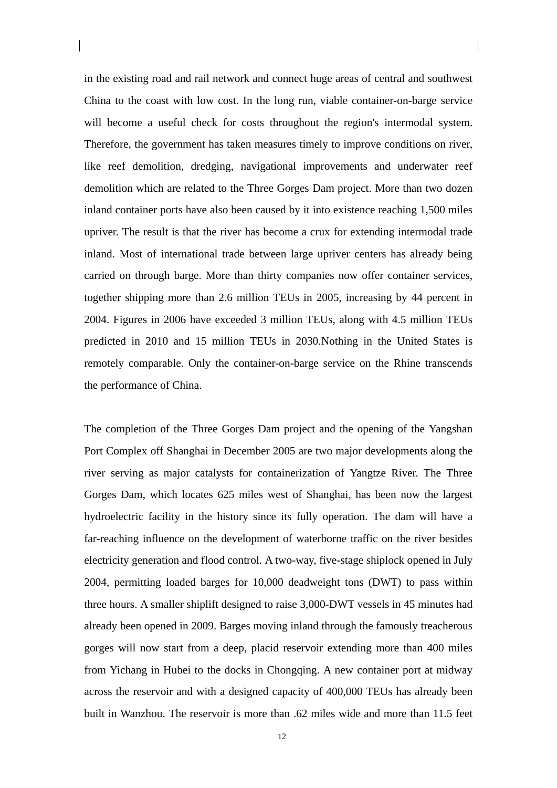in the existing road and rail network and connect huge areas of central and southwest China to the coast with low cost. In the long run, viable container-on-barge service will become a useful check for costs throughout the region's intermodal system. Therefore, the government has taken measures timely to improve conditions on river, like reef demolition, dredging, navigational improvements and underwater reef demolition which are related to the Three Gorges Dam project. More than two dozen inland container ports have also been caused by it into existence reaching 1,500 miles upriver. The result is that the river has become a crux for extending intermodal trade inland. Most of international trade between large upriver centers has already being carried on through barge. More than thirty companies now offer container services, together shipping more than 2.6 million TEUs in 2005, increasing by 44 percent in 2004. Figures in 2006 have exceeded 3 million TEUs, along with 4.5 million TEUs predicted in 2010 and 15 million TEUs in 2030.Nothing in the United States is remotely comparable. Only the container-on-barge service on the Rhine transcends the performance of China.

The completion of the Three Gorges Dam project and the opening of the Yangshan Port Complex off Shanghai in December 2005 are two major developments along the river serving as major catalysts for containerization of Yangtze River. The Three Gorges Dam, which locates 625 miles west of Shanghai, has been now the largest hydroelectric facility in the history since its fully operation. The dam will have a far-reaching influence on the development of waterborne traffic on the river besides electricity generation and flood control. A two-way, five-stage shiplock opened in July 2004, permitting loaded barges for 10,000 deadweight tons (DWT) to pass within three hours. A smaller shiplift designed to raise 3,000-DWT vessels in 45 minutes had already been opened in 2009. Barges moving inland through the famously treacherous gorges will now start from a deep, placid reservoir extending more than 400 miles from Yichang in Hubei to the docks in Chongqing. A new container port at midway across the reservoir and with a designed capacity of 400,000 TEUs has already been built in Wanzhou. The reservoir is more than .62 miles wide and more than 11.5 feet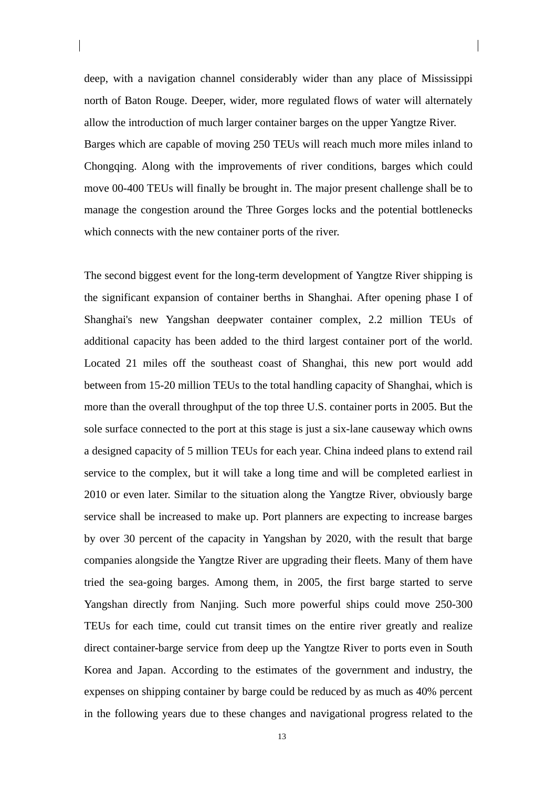deep, with a navigation channel considerably wider than any place of Mississippi north of Baton Rouge. Deeper, wider, more regulated flows of water will alternately allow the introduction of much larger container barges on the upper Yangtze River. Barges which are capable of moving 250 TEUs will reach much more miles inland to Chongqing. Along with the improvements of river conditions, barges which could move 00-400 TEUs will finally be brought in. The major present challenge shall be to manage the congestion around the Three Gorges locks and the potential bottlenecks which connects with the new container ports of the river.

The second biggest event for the long-term development of Yangtze River shipping is the significant expansion of container berths in Shanghai. After opening phase I of Shanghai's new Yangshan deepwater container complex, 2.2 million TEUs of additional capacity has been added to the third largest container port of the world. Located 21 miles off the southeast coast of Shanghai, this new port would add between from 15-20 million TEUs to the total handling capacity of Shanghai, which is more than the overall throughput of the top three U.S. container ports in 2005. But the sole surface connected to the port at this stage is just a six-lane causeway which owns a designed capacity of 5 million TEUs for each year. China indeed plans to extend rail service to the complex, but it will take a long time and will be completed earliest in 2010 or even later. Similar to the situation along the Yangtze River, obviously barge service shall be increased to make up. Port planners are expecting to increase barges by over 30 percent of the capacity in Yangshan by 2020, with the result that barge companies alongside the Yangtze River are upgrading their fleets. Many of them have tried the sea-going barges. Among them, in 2005, the first barge started to serve Yangshan directly from Nanjing. Such more powerful ships could move 250-300 TEUs for each time, could cut transit times on the entire river greatly and realize direct container-barge service from deep up the Yangtze River to ports even in South Korea and Japan. According to the estimates of the government and industry, the expenses on shipping container by barge could be reduced by as much as 40% percent in the following years due to these changes and navigational progress related to the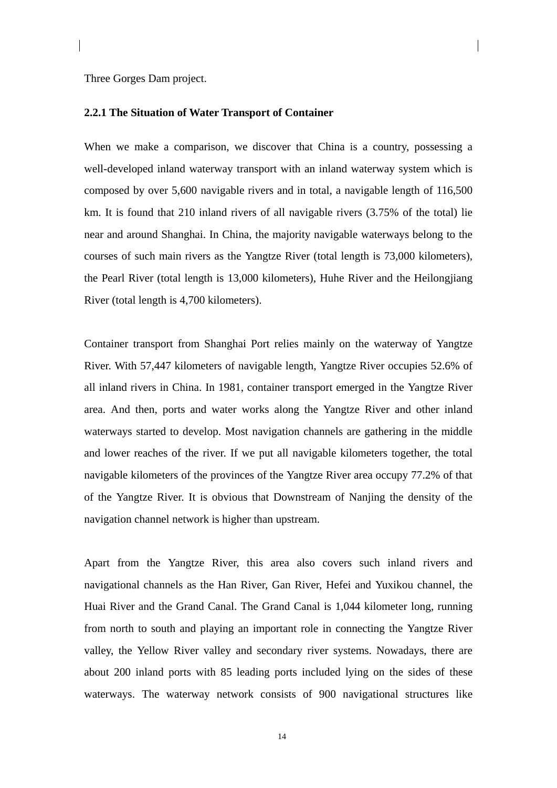Three Gorges Dam project.

# **2.2.1 The Situation of Water Transport of Container**

When we make a comparison, we discover that China is a country, possessing a well-developed inland waterway transport with an inland waterway system which is composed by over 5,600 navigable rivers and in total, a navigable length of 116,500 km. It is found that 210 inland rivers of all navigable rivers (3.75% of the total) lie near and around Shanghai. In China, the majority navigable waterways belong to the courses of such main rivers as the Yangtze River (total length is 73,000 kilometers), the Pearl River (total length is 13,000 kilometers), Huhe River and the Heilongjiang River (total length is 4,700 kilometers).

Container transport from Shanghai Port relies mainly on the waterway of Yangtze River. With 57,447 kilometers of navigable length, Yangtze River occupies 52.6% of all inland rivers in China. In 1981, container transport emerged in the Yangtze River area. And then, ports and water works along the Yangtze River and other inland waterways started to develop. Most navigation channels are gathering in the middle and lower reaches of the river. If we put all navigable kilometers together, the total navigable kilometers of the provinces of the Yangtze River area occupy 77.2% of that of the Yangtze River. It is obvious that Downstream of Nanjing the density of the navigation channel network is higher than upstream.

Apart from the Yangtze River, this area also covers such inland rivers and navigational channels as the Han River, Gan River, Hefei and Yuxikou channel, the Huai River and the Grand Canal. The Grand Canal is 1,044 kilometer long, running from north to south and playing an important role in connecting the Yangtze River valley, the Yellow River valley and secondary river systems. Nowadays, there are about 200 inland ports with 85 leading ports included lying on the sides of these waterways. The waterway network consists of 900 navigational structures like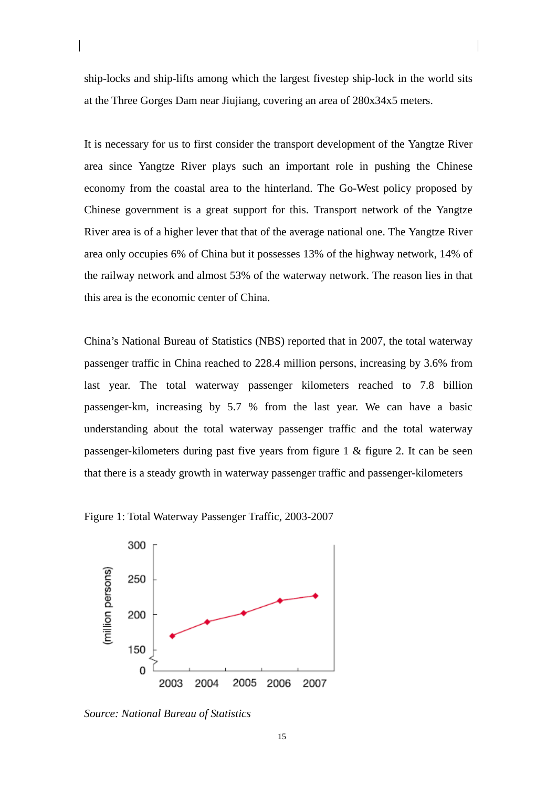ship-locks and ship-lifts among which the largest fivestep ship-lock in the world sits at the Three Gorges Dam near Jiujiang, covering an area of 280x34x5 meters.

It is necessary for us to first consider the transport development of the Yangtze River area since Yangtze River plays such an important role in pushing the Chinese economy from the coastal area to the hinterland. The Go-West policy proposed by Chinese government is a great support for this. Transport network of the Yangtze River area is of a higher lever that that of the average national one. The Yangtze River area only occupies 6% of China but it possesses 13% of the highway network, 14% of the railway network and almost 53% of the waterway network. The reason lies in that this area is the economic center of China.

China's National Bureau of Statistics (NBS) reported that in 2007, the total waterway passenger traffic in China reached to 228.4 million persons, increasing by 3.6% from last year. The total waterway passenger kilometers reached to 7.8 billion passenger-km, increasing by 5.7 % from the last year. We can have a basic understanding about the total waterway passenger traffic and the total waterway passenger-kilometers during past five years from figure 1 & figure 2. It can be seen that there is a steady growth in waterway passenger traffic and passenger-kilometers

Figure 1: Total Waterway Passenger Traffic, 2003-2007



*Source: National Bureau of Statistics*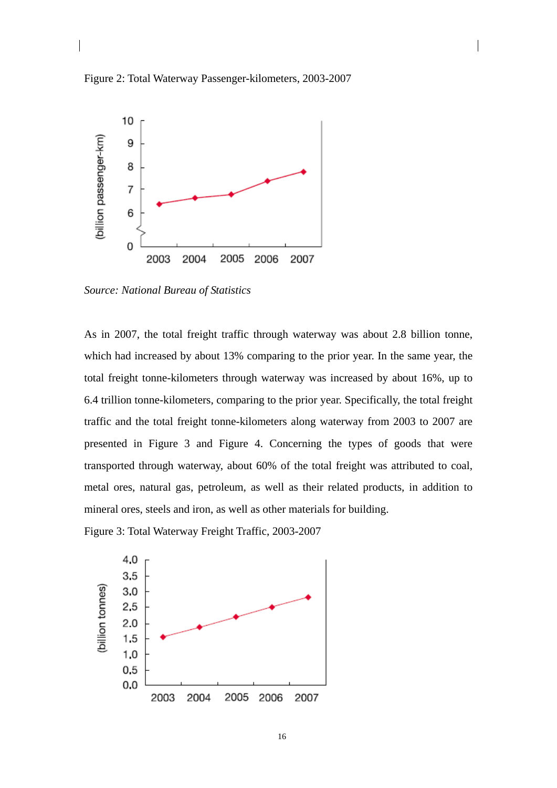



*Source: National Bureau of Statistics* 

As in 2007, the total freight traffic through waterway was about 2.8 billion tonne, which had increased by about 13% comparing to the prior year. In the same year, the total freight tonne-kilometers through waterway was increased by about 16%, up to 6.4 trillion tonne-kilometers, comparing to the prior year. Specifically, the total freight traffic and the total freight tonne-kilometers along waterway from 2003 to 2007 are presented in Figure 3 and Figure 4. Concerning the types of goods that were transported through waterway, about 60% of the total freight was attributed to coal, metal ores, natural gas, petroleum, as well as their related products, in addition to mineral ores, steels and iron, as well as other materials for building.

Figure 3: Total Waterway Freight Traffic, 2003-2007

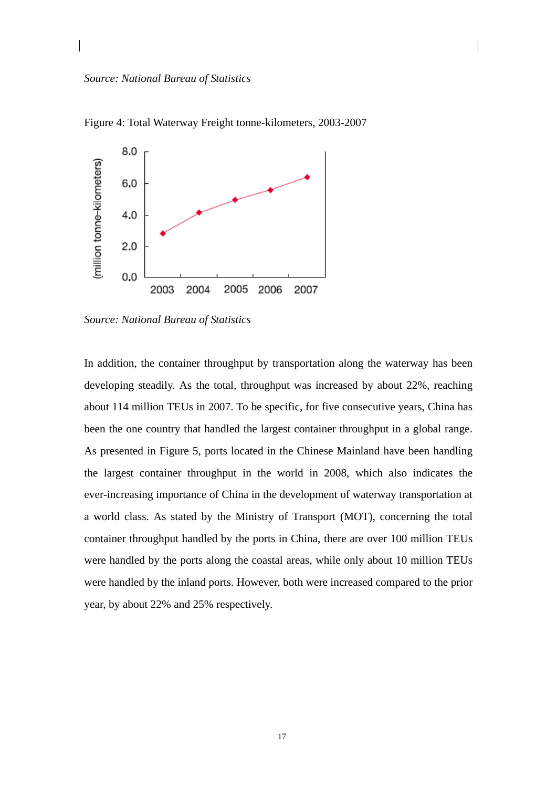

Figure 4: Total Waterway Freight tonne-kilometers, 2003-2007

*Source: National Bureau of Statistics*

In addition, the container throughput by transportation along the waterway has been developing steadily. As the total, throughput was increased by about 22%, reaching about 114 million TEUs in 2007. To be specific, for five consecutive years, China has been the one country that handled the largest container throughput in a global range. As presented in Figure 5, ports located in the Chinese Mainland have been handling the largest container throughput in the world in 2008, which also indicates the ever-increasing importance of China in the development of waterway transportation at a world class. As stated by the Ministry of Transport (MOT), concerning the total container throughput handled by the ports in China, there are over 100 million TEUs were handled by the ports along the coastal areas, while only about 10 million TEUs were handled by the inland ports. However, both were increased compared to the prior year, by about 22% and 25% respectively.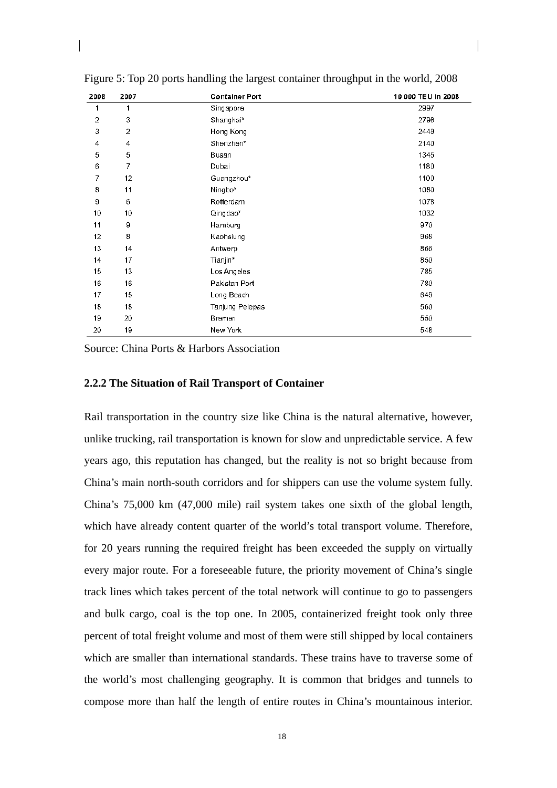| 2008             | 2007           | <b>Container Port</b> | 10 000 TEU in 2008 |
|------------------|----------------|-----------------------|--------------------|
| 1                | 1              | Singapore             | 2997               |
| $\overline{2}$   | 3              | Shanghai*             | 2798               |
| 3                | $\overline{2}$ | Hong Kong             | 2449               |
| 4                | 4              | Shenzhen*             | 2140               |
| 5                | 5              | Busan                 | 1345               |
| 6                | 7              | Dubai                 | 1180               |
| 7                | 12             | Guangzhou*            | 1100               |
| 8                | 11             | Ningbo*               | 1080               |
| 9                | 6              | Rotterdam             | 1078               |
| 10 <sub>10</sub> | 10             | Qingdao*              | 1032               |
| 11               | 9              | Hamburg               | 970                |
| 12               | 8              | Kaohsiung             | 968                |
| 13               | 14             | Antwerp               | 866                |
| 14               | 17             | Tianjin*              | 850                |
| 15               | 13             | Los Angeles           | 785                |
| 16               | 16             | Pakistan Port         | 780                |
| 17               | 15             | Long Beach            | 649                |
| 18               | 18             | Tanjung Pelepas       | 560                |
| 19               | 20             | Bremen                | 550                |
| 20               | 19             | New York              | 548                |

Figure 5: Top 20 ports handling the largest container throughput in the world, 2008

Source: China Ports & Harbors Association

#### **2.2.2 The Situation of Rail Transport of Container**

Rail transportation in the country size like China is the natural alternative, however, unlike trucking, rail transportation is known for slow and unpredictable service. A few years ago, this reputation has changed, but the reality is not so bright because from China's main north-south corridors and for shippers can use the volume system fully. China's 75,000 km (47,000 mile) rail system takes one sixth of the global length, which have already content quarter of the world's total transport volume. Therefore, for 20 years running the required freight has been exceeded the supply on virtually every major route. For a foreseeable future, the priority movement of China's single track lines which takes percent of the total network will continue to go to passengers and bulk cargo, coal is the top one. In 2005, containerized freight took only three percent of total freight volume and most of them were still shipped by local containers which are smaller than international standards. These trains have to traverse some of the world's most challenging geography. It is common that bridges and tunnels to compose more than half the length of entire routes in China's mountainous interior.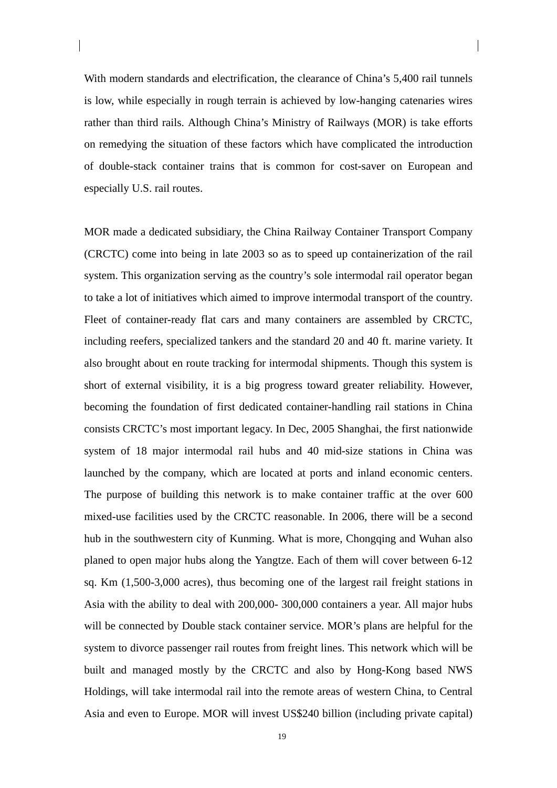With modern standards and electrification, the clearance of China's 5,400 rail tunnels is low, while especially in rough terrain is achieved by low-hanging catenaries wires rather than third rails. Although China's Ministry of Railways (MOR) is take efforts on remedying the situation of these factors which have complicated the introduction of double-stack container trains that is common for cost-saver on European and especially U.S. rail routes.

MOR made a dedicated subsidiary, the China Railway Container Transport Company (CRCTC) come into being in late 2003 so as to speed up containerization of the rail system. This organization serving as the country's sole intermodal rail operator began to take a lot of initiatives which aimed to improve intermodal transport of the country. Fleet of container-ready flat cars and many containers are assembled by CRCTC, including reefers, specialized tankers and the standard 20 and 40 ft. marine variety. It also brought about en route tracking for intermodal shipments. Though this system is short of external visibility, it is a big progress toward greater reliability. However, becoming the foundation of first dedicated container-handling rail stations in China consists CRCTC's most important legacy. In Dec, 2005 Shanghai, the first nationwide system of 18 major intermodal rail hubs and 40 mid-size stations in China was launched by the company, which are located at ports and inland economic centers. The purpose of building this network is to make container traffic at the over 600 mixed-use facilities used by the CRCTC reasonable. In 2006, there will be a second hub in the southwestern city of Kunming. What is more, Chongqing and Wuhan also planed to open major hubs along the Yangtze. Each of them will cover between 6-12 sq. Km (1,500-3,000 acres), thus becoming one of the largest rail freight stations in Asia with the ability to deal with 200,000- 300,000 containers a year. All major hubs will be connected by Double stack container service. MOR's plans are helpful for the system to divorce passenger rail routes from freight lines. This network which will be built and managed mostly by the CRCTC and also by Hong-Kong based NWS Holdings, will take intermodal rail into the remote areas of western China, to Central Asia and even to Europe. MOR will invest US\$240 billion (including private capital)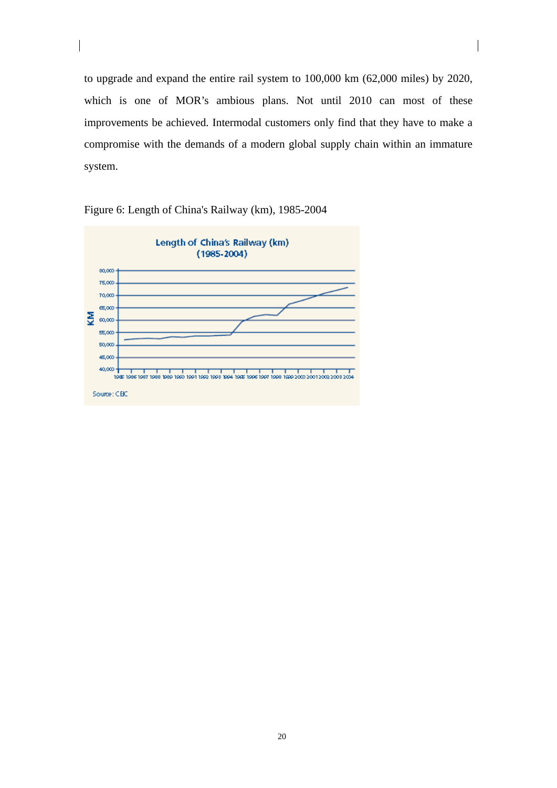to upgrade and expand the entire rail system to 100,000 km (62,000 miles) by 2020, which is one of MOR's ambious plans. Not until 2010 can most of these improvements be achieved. Intermodal customers only find that they have to make a compromise with the demands of a modern global supply chain within an immature system.



Figure 6: Length of China's Railway (km), 1985-2004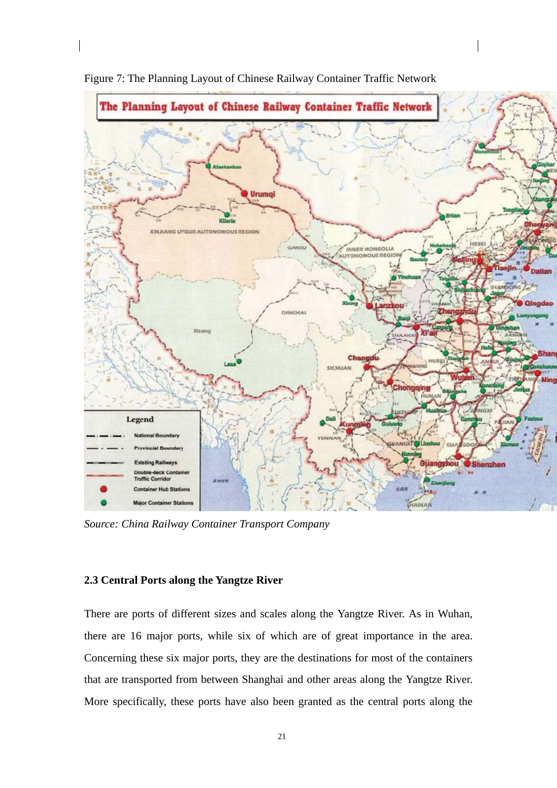

Figure 7: The Planning Layout of Chinese Railway Container Traffic Network

*Source: China Railway Container Transport Company* 

# **2.3 Central Ports along the Yangtze River**

There are ports of different sizes and scales along the Yangtze River. As in Wuhan, there are 16 major ports, while six of which are of great importance in the area. Concerning these six major ports, they are the destinations for most of the containers that are transported from between Shanghai and other areas along the Yangtze River. More specifically, these ports have also been granted as the central ports along the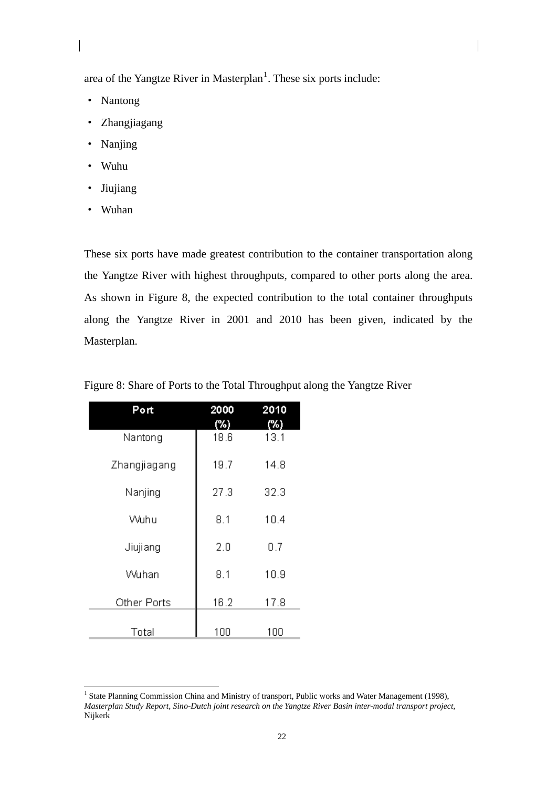area of the Yangtze River in Masterplan<sup>[1](#page-30-0)</sup>. These six ports include:

- · Nantong
- · Zhangjiagang
- · Nanjing
- · Wuhu
- · Jiujiang
- · Wuhan

-

These six ports have made greatest contribution to the container transportation along the Yangtze River with highest throughputs, compared to other ports along the area. As shown in Figure 8, the expected contribution to the total container throughputs along the Yangtze River in 2001 and 2010 has been given, indicated by the Masterplan.

| Port         | 2000<br>(%) | 2010<br>(%) |
|--------------|-------------|-------------|
| Nantong      | 18.6        | 13.1        |
| Zhangjiagang | 19.7        | 14.8        |
| Nanjing      | 27.3        | 32.3        |
| Wuhu         | 8.1         | 10.4        |
| Jiujiang     | 2.0         | 0.7         |
| Wuhan        | 8.1         | 10.9        |
| Other Ports  | 16.2        | 17.8        |
| Total        | 100         | 100         |

Figure 8: Share of Ports to the Total Throughput along the Yangtze River

<span id="page-30-0"></span><sup>&</sup>lt;sup>1</sup> State Planning Commission China and Ministry of transport, Public works and Water Management (1998), *Masterplan Study Report, Sino-Dutch joint research on the Yangtze River Basin inter-modal transport project*, Nijkerk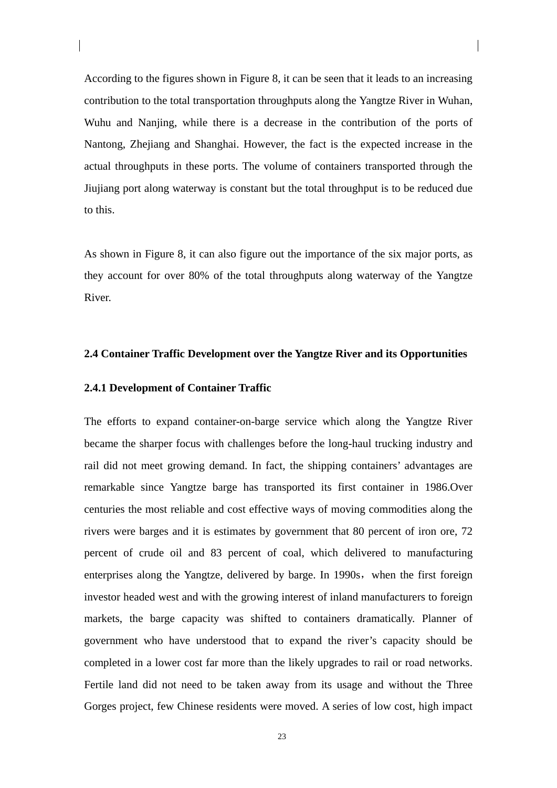According to the figures shown in Figure 8, it can be seen that it leads to an increasing contribution to the total transportation throughputs along the Yangtze River in Wuhan, Wuhu and Nanjing, while there is a decrease in the contribution of the ports of Nantong, Zhejiang and Shanghai. However, the fact is the expected increase in the actual throughputs in these ports. The volume of containers transported through the Jiujiang port along waterway is constant but the total throughput is to be reduced due to this.

As shown in Figure 8, it can also figure out the importance of the six major ports, as they account for over 80% of the total throughputs along waterway of the Yangtze River.

# **2.4 Container Traffic Development over the Yangtze River and its Opportunities**

# **2.4.1 Development of Container Traffic**

The efforts to expand container-on-barge service which along the Yangtze River became the sharper focus with challenges before the long-haul trucking industry and rail did not meet growing demand. In fact, the shipping containers' advantages are remarkable since Yangtze barge has transported its first container in 1986.Over centuries the most reliable and cost effective ways of moving commodities along the rivers were barges and it is estimates by government that 80 percent of iron ore, 72 percent of crude oil and 83 percent of coal, which delivered to manufacturing enterprises along the Yangtze, delivered by barge. In 1990s, when the first foreign investor headed west and with the growing interest of inland manufacturers to foreign markets, the barge capacity was shifted to containers dramatically. Planner of government who have understood that to expand the river's capacity should be completed in a lower cost far more than the likely upgrades to rail or road networks. Fertile land did not need to be taken away from its usage and without the Three Gorges project, few Chinese residents were moved. A series of low cost, high impact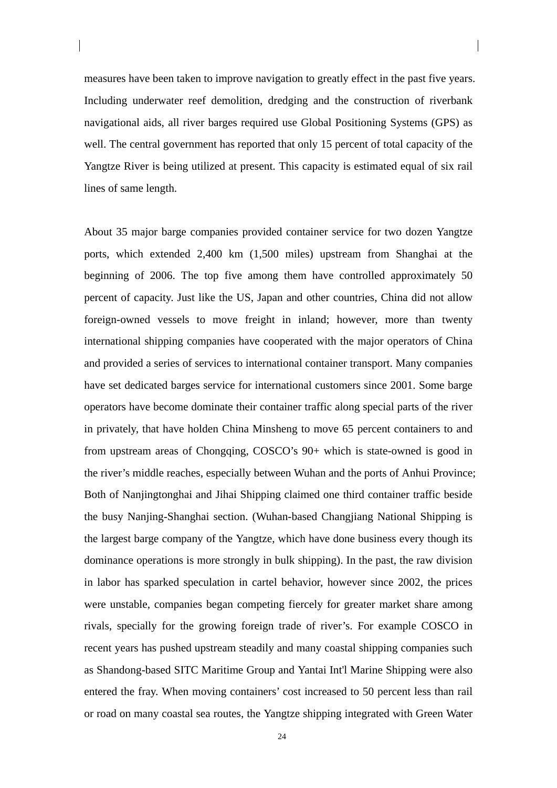measures have been taken to improve navigation to greatly effect in the past five years. Including underwater reef demolition, dredging and the construction of riverbank navigational aids, all river barges required use Global Positioning Systems (GPS) as well. The central government has reported that only 15 percent of total capacity of the Yangtze River is being utilized at present. This capacity is estimated equal of six rail lines of same length.

About 35 major barge companies provided container service for two dozen Yangtze ports, which extended 2,400 km (1,500 miles) upstream from Shanghai at the beginning of 2006. The top five among them have controlled approximately 50 percent of capacity. Just like the US, Japan and other countries, China did not allow foreign-owned vessels to move freight in inland; however, more than twenty international shipping companies have cooperated with the major operators of China and provided a series of services to international container transport. Many companies have set dedicated barges service for international customers since 2001. Some barge operators have become dominate their container traffic along special parts of the river in privately, that have holden China Minsheng to move 65 percent containers to and from upstream areas of Chongqing, COSCO's 90+ which is state-owned is good in the river's middle reaches, especially between Wuhan and the ports of Anhui Province; Both of Nanjingtonghai and Jihai Shipping claimed one third container traffic beside the busy Nanjing-Shanghai section. (Wuhan-based Changjiang National Shipping is the largest barge company of the Yangtze, which have done business every though its dominance operations is more strongly in bulk shipping). In the past, the raw division in labor has sparked speculation in cartel behavior, however since 2002, the prices were unstable, companies began competing fiercely for greater market share among rivals, specially for the growing foreign trade of river's. For example COSCO in recent years has pushed upstream steadily and many coastal shipping companies such as Shandong-based SITC Maritime Group and Yantai Int'l Marine Shipping were also entered the fray. When moving containers' cost increased to 50 percent less than rail or road on many coastal sea routes, the Yangtze shipping integrated with Green Water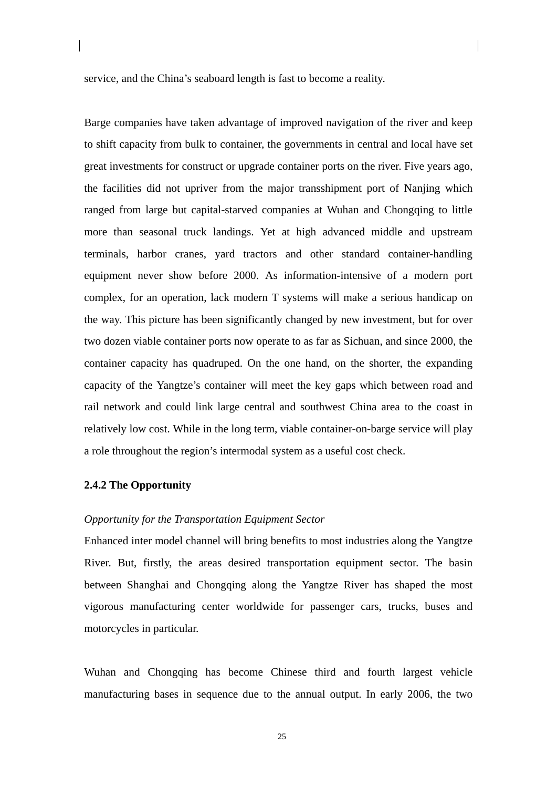service, and the China's seaboard length is fast to become a reality.

Barge companies have taken advantage of improved navigation of the river and keep to shift capacity from bulk to container, the governments in central and local have set great investments for construct or upgrade container ports on the river. Five years ago, the facilities did not upriver from the major transshipment port of Nanjing which ranged from large but capital-starved companies at Wuhan and Chongqing to little more than seasonal truck landings. Yet at high advanced middle and upstream terminals, harbor cranes, yard tractors and other standard container-handling equipment never show before 2000. As information-intensive of a modern port complex, for an operation, lack modern T systems will make a serious handicap on the way. This picture has been significantly changed by new investment, but for over two dozen viable container ports now operate to as far as Sichuan, and since 2000, the container capacity has quadruped. On the one hand, on the shorter, the expanding capacity of the Yangtze's container will meet the key gaps which between road and rail network and could link large central and southwest China area to the coast in relatively low cost. While in the long term, viable container-on-barge service will play a role throughout the region's intermodal system as a useful cost check.

### **2.4.2 The Opportunity**

# *Opportunity for the Transportation Equipment Sector*

Enhanced inter model channel will bring benefits to most industries along the Yangtze River. But, firstly, the areas desired transportation equipment sector. The basin between Shanghai and Chongqing along the Yangtze River has shaped the most vigorous manufacturing center worldwide for passenger cars, trucks, buses and motorcycles in particular.

Wuhan and Chongqing has become Chinese third and fourth largest vehicle manufacturing bases in sequence due to the annual output. In early 2006, the two

25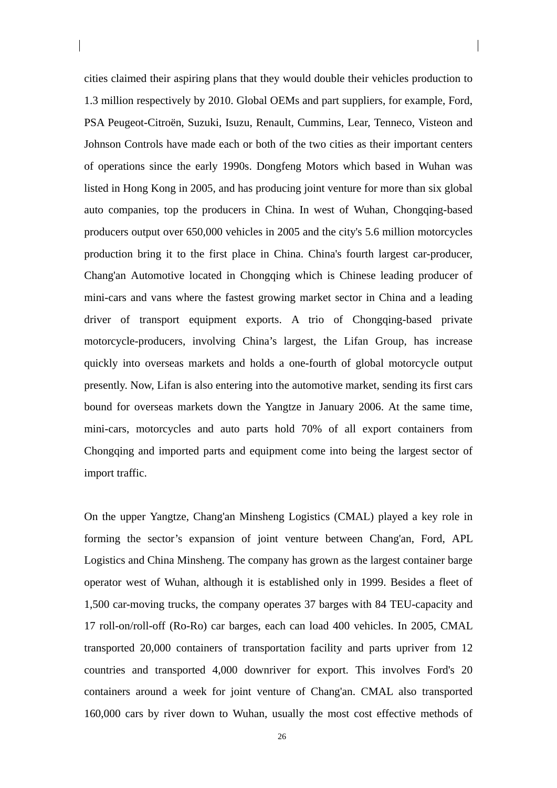cities claimed their aspiring plans that they would double their vehicles production to 1.3 million respectively by 2010. Global OEMs and part suppliers, for example, Ford, PSA Peugeot-Citroën, Suzuki, Isuzu, Renault, Cummins, Lear, Tenneco, Visteon and Johnson Controls have made each or both of the two cities as their important centers of operations since the early 1990s. Dongfeng Motors which based in Wuhan was listed in Hong Kong in 2005, and has producing joint venture for more than six global auto companies, top the producers in China. In west of Wuhan, Chongqing-based producers output over 650,000 vehicles in 2005 and the city's 5.6 million motorcycles production bring it to the first place in China. China's fourth largest car-producer, Chang'an Automotive located in Chongqing which is Chinese leading producer of mini-cars and vans where the fastest growing market sector in China and a leading driver of transport equipment exports. A trio of Chongqing-based private motorcycle-producers, involving China's largest, the Lifan Group, has increase quickly into overseas markets and holds a one-fourth of global motorcycle output presently. Now, Lifan is also entering into the automotive market, sending its first cars bound for overseas markets down the Yangtze in January 2006. At the same time, mini-cars, motorcycles and auto parts hold 70% of all export containers from Chongqing and imported parts and equipment come into being the largest sector of import traffic.

On the upper Yangtze, Chang'an Minsheng Logistics (CMAL) played a key role in forming the sector's expansion of joint venture between Chang'an, Ford, APL Logistics and China Minsheng. The company has grown as the largest container barge operator west of Wuhan, although it is established only in 1999. Besides a fleet of 1,500 car-moving trucks, the company operates 37 barges with 84 TEU-capacity and 17 roll-on/roll-off (Ro-Ro) car barges, each can load 400 vehicles. In 2005, CMAL transported 20,000 containers of transportation facility and parts upriver from 12 countries and transported 4,000 downriver for export. This involves Ford's 20 containers around a week for joint venture of Chang'an. CMAL also transported 160,000 cars by river down to Wuhan, usually the most cost effective methods of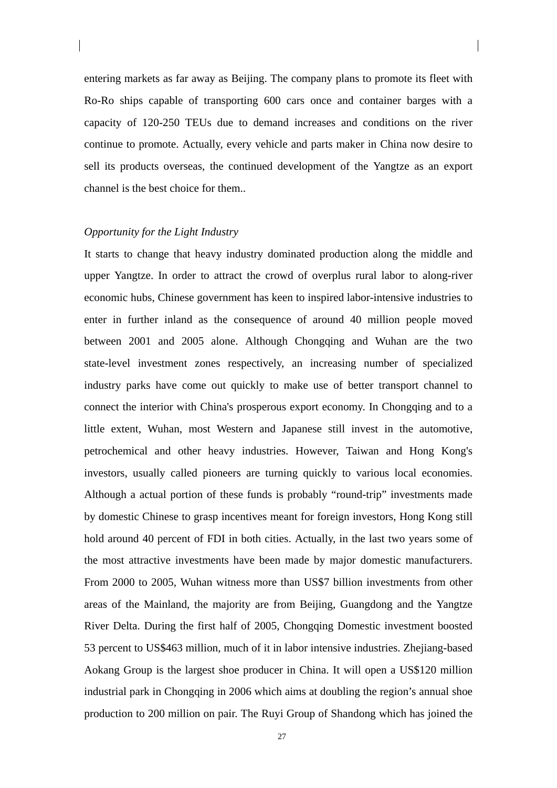entering markets as far away as Beijing. The company plans to promote its fleet with Ro-Ro ships capable of transporting 600 cars once and container barges with a capacity of 120-250 TEUs due to demand increases and conditions on the river continue to promote. Actually, every vehicle and parts maker in China now desire to sell its products overseas, the continued development of the Yangtze as an export channel is the best choice for them..

# *Opportunity for the Light Industry*

It starts to change that heavy industry dominated production along the middle and upper Yangtze. In order to attract the crowd of overplus rural labor to along-river economic hubs, Chinese government has keen to inspired labor-intensive industries to enter in further inland as the consequence of around 40 million people moved between 2001 and 2005 alone. Although Chongqing and Wuhan are the two state-level investment zones respectively, an increasing number of specialized industry parks have come out quickly to make use of better transport channel to connect the interior with China's prosperous export economy. In Chongqing and to a little extent, Wuhan, most Western and Japanese still invest in the automotive, petrochemical and other heavy industries. However, Taiwan and Hong Kong's investors, usually called pioneers are turning quickly to various local economies. Although a actual portion of these funds is probably "round-trip" investments made by domestic Chinese to grasp incentives meant for foreign investors, Hong Kong still hold around 40 percent of FDI in both cities. Actually, in the last two years some of the most attractive investments have been made by major domestic manufacturers. From 2000 to 2005, Wuhan witness more than US\$7 billion investments from other areas of the Mainland, the majority are from Beijing, Guangdong and the Yangtze River Delta. During the first half of 2005, Chongqing Domestic investment boosted 53 percent to US\$463 million, much of it in labor intensive industries. Zhejiang-based Aokang Group is the largest shoe producer in China. It will open a US\$120 million industrial park in Chongqing in 2006 which aims at doubling the region's annual shoe production to 200 million on pair. The Ruyi Group of Shandong which has joined the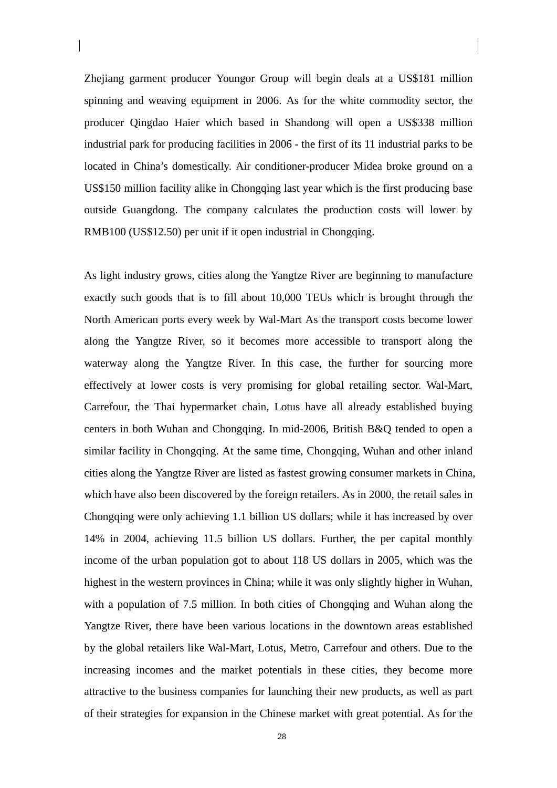Zhejiang garment producer Youngor Group will begin deals at a US\$181 million spinning and weaving equipment in 2006. As for the white commodity sector, the producer Qingdao Haier which based in Shandong will open a US\$338 million industrial park for producing facilities in 2006 - the first of its 11 industrial parks to be located in China's domestically. Air conditioner-producer Midea broke ground on a US\$150 million facility alike in Chongqing last year which is the first producing base outside Guangdong. The company calculates the production costs will lower by RMB100 (US\$12.50) per unit if it open industrial in Chongqing.

As light industry grows, cities along the Yangtze River are beginning to manufacture exactly such goods that is to fill about 10,000 TEUs which is brought through the North American ports every week by Wal-Mart As the transport costs become lower along the Yangtze River, so it becomes more accessible to transport along the waterway along the Yangtze River. In this case, the further for sourcing more effectively at lower costs is very promising for global retailing sector. Wal-Mart, Carrefour, the Thai hypermarket chain, Lotus have all already established buying centers in both Wuhan and Chongqing. In mid-2006, British B&Q tended to open a similar facility in Chongqing. At the same time, Chongqing, Wuhan and other inland cities along the Yangtze River are listed as fastest growing consumer markets in China, which have also been discovered by the foreign retailers. As in 2000, the retail sales in Chongqing were only achieving 1.1 billion US dollars; while it has increased by over 14% in 2004, achieving 11.5 billion US dollars. Further, the per capital monthly income of the urban population got to about 118 US dollars in 2005, which was the highest in the western provinces in China; while it was only slightly higher in Wuhan, with a population of 7.5 million. In both cities of Chongqing and Wuhan along the Yangtze River, there have been various locations in the downtown areas established by the global retailers like Wal-Mart, Lotus, Metro, Carrefour and others. Due to the increasing incomes and the market potentials in these cities, they become more attractive to the business companies for launching their new products, as well as part of their strategies for expansion in the Chinese market with great potential. As for the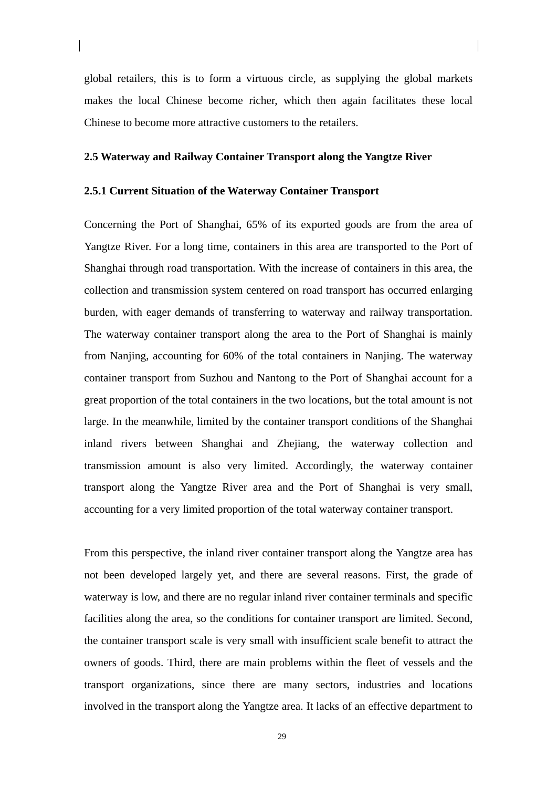global retailers, this is to form a virtuous circle, as supplying the global markets makes the local Chinese become richer, which then again facilitates these local Chinese to become more attractive customers to the retailers.

# **2.5 Waterway and Railway Container Transport along the Yangtze River**

# **2.5.1 Current Situation of the Waterway Container Transport**

Concerning the Port of Shanghai, 65% of its exported goods are from the area of Yangtze River. For a long time, containers in this area are transported to the Port of Shanghai through road transportation. With the increase of containers in this area, the collection and transmission system centered on road transport has occurred enlarging burden, with eager demands of transferring to waterway and railway transportation. The waterway container transport along the area to the Port of Shanghai is mainly from Nanjing, accounting for 60% of the total containers in Nanjing. The waterway container transport from Suzhou and Nantong to the Port of Shanghai account for a great proportion of the total containers in the two locations, but the total amount is not large. In the meanwhile, limited by the container transport conditions of the Shanghai inland rivers between Shanghai and Zhejiang, the waterway collection and transmission amount is also very limited. Accordingly, the waterway container transport along the Yangtze River area and the Port of Shanghai is very small, accounting for a very limited proportion of the total waterway container transport.

From this perspective, the inland river container transport along the Yangtze area has not been developed largely yet, and there are several reasons. First, the grade of waterway is low, and there are no regular inland river container terminals and specific facilities along the area, so the conditions for container transport are limited. Second, the container transport scale is very small with insufficient scale benefit to attract the owners of goods. Third, there are main problems within the fleet of vessels and the transport organizations, since there are many sectors, industries and locations involved in the transport along the Yangtze area. It lacks of an effective department to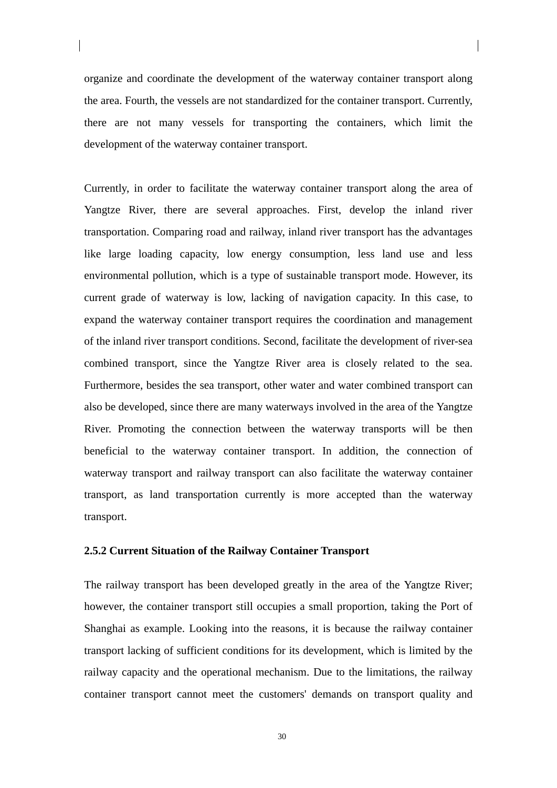organize and coordinate the development of the waterway container transport along the area. Fourth, the vessels are not standardized for the container transport. Currently, there are not many vessels for transporting the containers, which limit the development of the waterway container transport.

Currently, in order to facilitate the waterway container transport along the area of Yangtze River, there are several approaches. First, develop the inland river transportation. Comparing road and railway, inland river transport has the advantages like large loading capacity, low energy consumption, less land use and less environmental pollution, which is a type of sustainable transport mode. However, its current grade of waterway is low, lacking of navigation capacity. In this case, to expand the waterway container transport requires the coordination and management of the inland river transport conditions. Second, facilitate the development of river-sea combined transport, since the Yangtze River area is closely related to the sea. Furthermore, besides the sea transport, other water and water combined transport can also be developed, since there are many waterways involved in the area of the Yangtze River. Promoting the connection between the waterway transports will be then beneficial to the waterway container transport. In addition, the connection of waterway transport and railway transport can also facilitate the waterway container transport, as land transportation currently is more accepted than the waterway transport.

# **2.5.2 Current Situation of the Railway Container Transport**

The railway transport has been developed greatly in the area of the Yangtze River; however, the container transport still occupies a small proportion, taking the Port of Shanghai as example. Looking into the reasons, it is because the railway container transport lacking of sufficient conditions for its development, which is limited by the railway capacity and the operational mechanism. Due to the limitations, the railway container transport cannot meet the customers' demands on transport quality and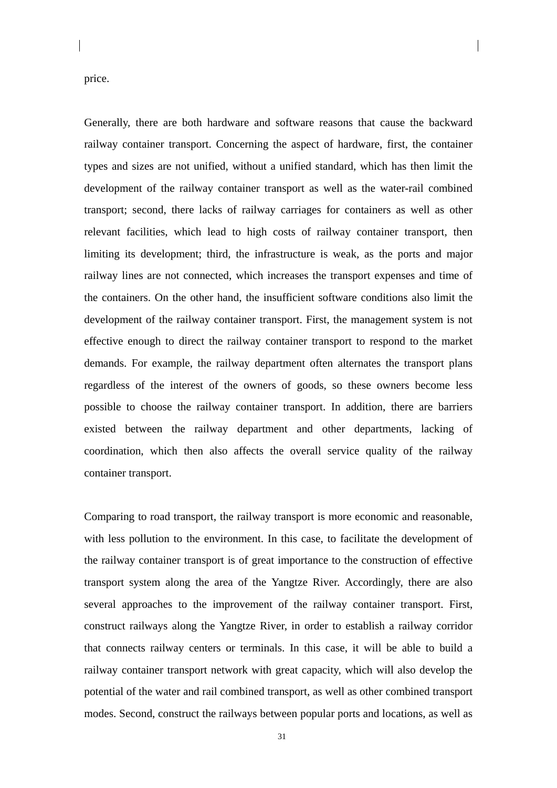price.

Generally, there are both hardware and software reasons that cause the backward railway container transport. Concerning the aspect of hardware, first, the container types and sizes are not unified, without a unified standard, which has then limit the development of the railway container transport as well as the water-rail combined transport; second, there lacks of railway carriages for containers as well as other relevant facilities, which lead to high costs of railway container transport, then limiting its development; third, the infrastructure is weak, as the ports and major railway lines are not connected, which increases the transport expenses and time of the containers. On the other hand, the insufficient software conditions also limit the development of the railway container transport. First, the management system is not effective enough to direct the railway container transport to respond to the market demands. For example, the railway department often alternates the transport plans regardless of the interest of the owners of goods, so these owners become less possible to choose the railway container transport. In addition, there are barriers existed between the railway department and other departments, lacking of coordination, which then also affects the overall service quality of the railway container transport.

Comparing to road transport, the railway transport is more economic and reasonable, with less pollution to the environment. In this case, to facilitate the development of the railway container transport is of great importance to the construction of effective transport system along the area of the Yangtze River. Accordingly, there are also several approaches to the improvement of the railway container transport. First, construct railways along the Yangtze River, in order to establish a railway corridor that connects railway centers or terminals. In this case, it will be able to build a railway container transport network with great capacity, which will also develop the potential of the water and rail combined transport, as well as other combined transport modes. Second, construct the railways between popular ports and locations, as well as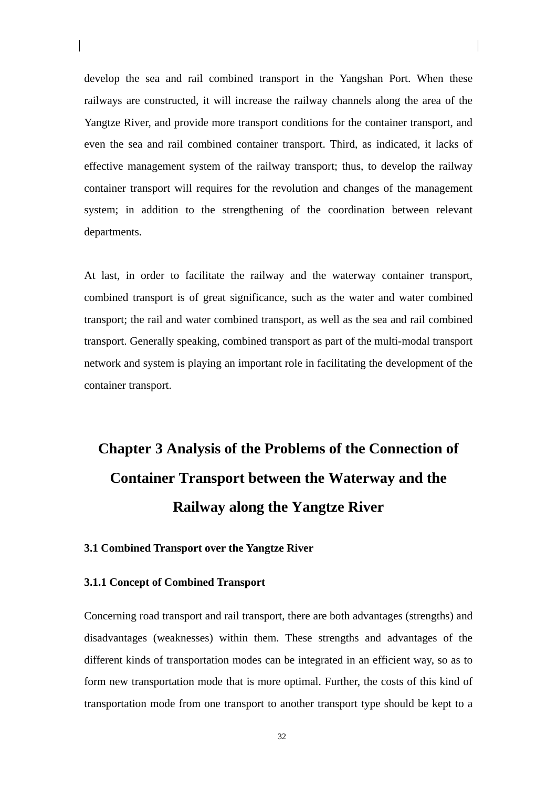develop the sea and rail combined transport in the Yangshan Port. When these railways are constructed, it will increase the railway channels along the area of the Yangtze River, and provide more transport conditions for the container transport, and even the sea and rail combined container transport. Third, as indicated, it lacks of effective management system of the railway transport; thus, to develop the railway container transport will requires for the revolution and changes of the management system; in addition to the strengthening of the coordination between relevant departments.

At last, in order to facilitate the railway and the waterway container transport, combined transport is of great significance, such as the water and water combined transport; the rail and water combined transport, as well as the sea and rail combined transport. Generally speaking, combined transport as part of the multi-modal transport network and system is playing an important role in facilitating the development of the container transport.

# **Chapter 3 Analysis of the Problems of the Connection of Container Transport between the Waterway and the Railway along the Yangtze River**

# **3.1 Combined Transport over the Yangtze River**

## **3.1.1 Concept of Combined Transport**

Concerning road transport and rail transport, there are both advantages (strengths) and disadvantages (weaknesses) within them. These strengths and advantages of the different kinds of transportation modes can be integrated in an efficient way, so as to form new transportation mode that is more optimal. Further, the costs of this kind of transportation mode from one transport to another transport type should be kept to a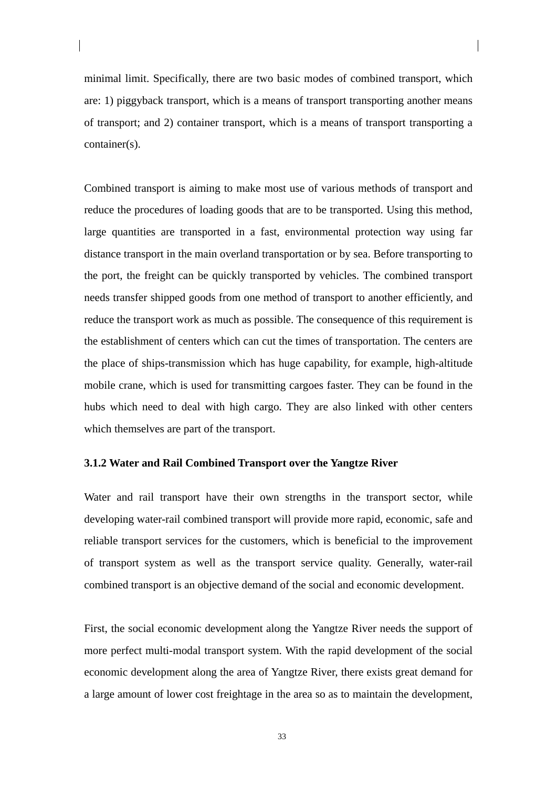minimal limit. Specifically, there are two basic modes of combined transport, which are: 1) piggyback transport, which is a means of transport transporting another means of transport; and 2) container transport, which is a means of transport transporting a container(s).

Combined transport is aiming to make most use of various methods of transport and reduce the procedures of loading goods that are to be transported. Using this method, large quantities are transported in a fast, environmental protection way using far distance transport in the main overland transportation or by sea. Before transporting to the port, the freight can be quickly transported by vehicles. The combined transport needs transfer shipped goods from one method of transport to another efficiently, and reduce the transport work as much as possible. The consequence of this requirement is the establishment of centers which can cut the times of transportation. The centers are the place of ships-transmission which has huge capability, for example, high-altitude mobile crane, which is used for transmitting cargoes faster. They can be found in the hubs which need to deal with high cargo. They are also linked with other centers which themselves are part of the transport.

## **3.1.2 Water and Rail Combined Transport over the Yangtze River**

Water and rail transport have their own strengths in the transport sector, while developing water-rail combined transport will provide more rapid, economic, safe and reliable transport services for the customers, which is beneficial to the improvement of transport system as well as the transport service quality. Generally, water-rail combined transport is an objective demand of the social and economic development.

First, the social economic development along the Yangtze River needs the support of more perfect multi-modal transport system. With the rapid development of the social economic development along the area of Yangtze River, there exists great demand for a large amount of lower cost freightage in the area so as to maintain the development,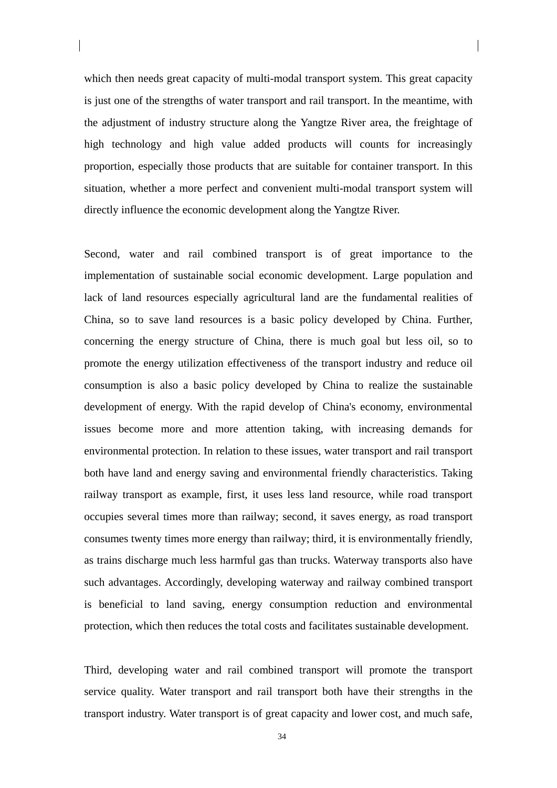which then needs great capacity of multi-modal transport system. This great capacity is just one of the strengths of water transport and rail transport. In the meantime, with the adjustment of industry structure along the Yangtze River area, the freightage of high technology and high value added products will counts for increasingly proportion, especially those products that are suitable for container transport. In this situation, whether a more perfect and convenient multi-modal transport system will directly influence the economic development along the Yangtze River.

Second, water and rail combined transport is of great importance to the implementation of sustainable social economic development. Large population and lack of land resources especially agricultural land are the fundamental realities of China, so to save land resources is a basic policy developed by China. Further, concerning the energy structure of China, there is much goal but less oil, so to promote the energy utilization effectiveness of the transport industry and reduce oil consumption is also a basic policy developed by China to realize the sustainable development of energy. With the rapid develop of China's economy, environmental issues become more and more attention taking, with increasing demands for environmental protection. In relation to these issues, water transport and rail transport both have land and energy saving and environmental friendly characteristics. Taking railway transport as example, first, it uses less land resource, while road transport occupies several times more than railway; second, it saves energy, as road transport consumes twenty times more energy than railway; third, it is environmentally friendly, as trains discharge much less harmful gas than trucks. Waterway transports also have such advantages. Accordingly, developing waterway and railway combined transport is beneficial to land saving, energy consumption reduction and environmental protection, which then reduces the total costs and facilitates sustainable development.

Third, developing water and rail combined transport will promote the transport service quality. Water transport and rail transport both have their strengths in the transport industry. Water transport is of great capacity and lower cost, and much safe,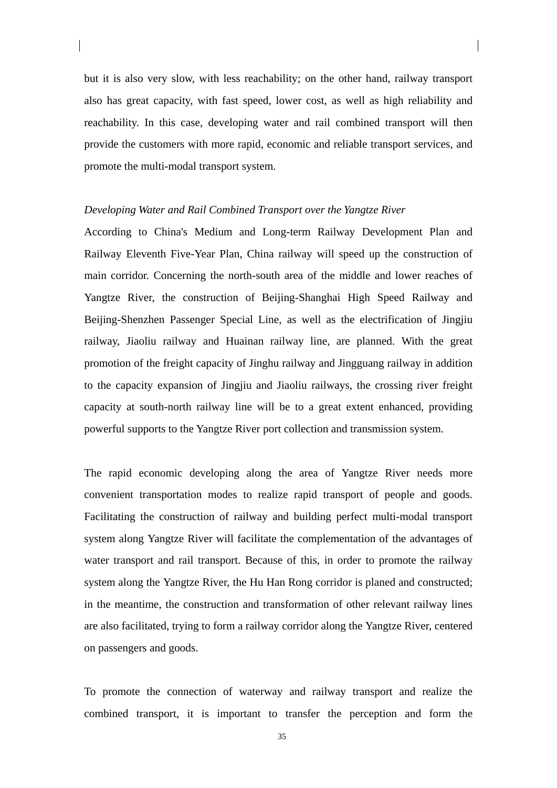but it is also very slow, with less reachability; on the other hand, railway transport also has great capacity, with fast speed, lower cost, as well as high reliability and reachability. In this case, developing water and rail combined transport will then provide the customers with more rapid, economic and reliable transport services, and promote the multi-modal transport system.

# *Developing Water and Rail Combined Transport over the Yangtze River*

According to China's Medium and Long-term Railway Development Plan and Railway Eleventh Five-Year Plan, China railway will speed up the construction of main corridor. Concerning the north-south area of the middle and lower reaches of Yangtze River, the construction of Beijing-Shanghai High Speed Railway and Beijing-Shenzhen Passenger Special Line, as well as the electrification of Jingjiu railway, Jiaoliu railway and Huainan railway line, are planned. With the great promotion of the freight capacity of Jinghu railway and Jingguang railway in addition to the capacity expansion of Jingjiu and Jiaoliu railways, the crossing river freight capacity at south-north railway line will be to a great extent enhanced, providing powerful supports to the Yangtze River port collection and transmission system.

The rapid economic developing along the area of Yangtze River needs more convenient transportation modes to realize rapid transport of people and goods. Facilitating the construction of railway and building perfect multi-modal transport system along Yangtze River will facilitate the complementation of the advantages of water transport and rail transport. Because of this, in order to promote the railway system along the Yangtze River, the Hu Han Rong corridor is planed and constructed; in the meantime, the construction and transformation of other relevant railway lines are also facilitated, trying to form a railway corridor along the Yangtze River, centered on passengers and goods.

To promote the connection of waterway and railway transport and realize the combined transport, it is important to transfer the perception and form the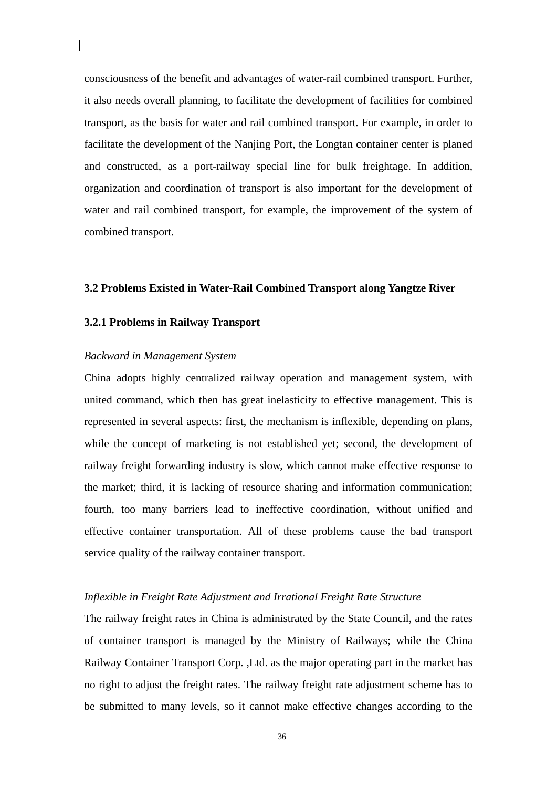consciousness of the benefit and advantages of water-rail combined transport. Further, it also needs overall planning, to facilitate the development of facilities for combined transport, as the basis for water and rail combined transport. For example, in order to facilitate the development of the Nanjing Port, the Longtan container center is planed and constructed, as a port-railway special line for bulk freightage. In addition, organization and coordination of transport is also important for the development of water and rail combined transport, for example, the improvement of the system of combined transport.

#### **3.2 Problems Existed in Water-Rail Combined Transport along Yangtze River**

# **3.2.1 Problems in Railway Transport**

#### *Backward in Management System*

China adopts highly centralized railway operation and management system, with united command, which then has great inelasticity to effective management. This is represented in several aspects: first, the mechanism is inflexible, depending on plans, while the concept of marketing is not established yet; second, the development of railway freight forwarding industry is slow, which cannot make effective response to the market; third, it is lacking of resource sharing and information communication; fourth, too many barriers lead to ineffective coordination, without unified and effective container transportation. All of these problems cause the bad transport service quality of the railway container transport.

## *Inflexible in Freight Rate Adjustment and Irrational Freight Rate Structure*

The railway freight rates in China is administrated by the State Council, and the rates of container transport is managed by the Ministry of Railways; while the China Railway Container Transport Corp. ,Ltd. as the major operating part in the market has no right to adjust the freight rates. The railway freight rate adjustment scheme has to be submitted to many levels, so it cannot make effective changes according to the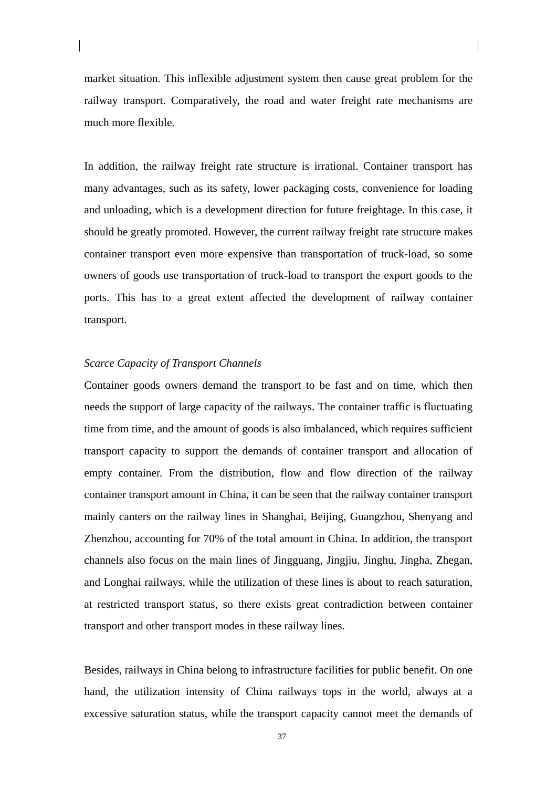market situation. This inflexible adjustment system then cause great problem for the railway transport. Comparatively, the road and water freight rate mechanisms are much more flexible.

In addition, the railway freight rate structure is irrational. Container transport has many advantages, such as its safety, lower packaging costs, convenience for loading and unloading, which is a development direction for future freightage. In this case, it should be greatly promoted. However, the current railway freight rate structure makes container transport even more expensive than transportation of truck-load, so some owners of goods use transportation of truck-load to transport the export goods to the ports. This has to a great extent affected the development of railway container transport.

# *Scarce Capacity of Transport Channels*

Container goods owners demand the transport to be fast and on time, which then needs the support of large capacity of the railways. The container traffic is fluctuating time from time, and the amount of goods is also imbalanced, which requires sufficient transport capacity to support the demands of container transport and allocation of empty container. From the distribution, flow and flow direction of the railway container transport amount in China, it can be seen that the railway container transport mainly canters on the railway lines in Shanghai, Beijing, Guangzhou, Shenyang and Zhenzhou, accounting for 70% of the total amount in China. In addition, the transport channels also focus on the main lines of Jingguang, Jingjiu, Jinghu, Jingha, Zhegan, and Longhai railways, while the utilization of these lines is about to reach saturation, at restricted transport status, so there exists great contradiction between container transport and other transport modes in these railway lines.

Besides, railways in China belong to infrastructure facilities for public benefit. On one hand, the utilization intensity of China railways tops in the world, always at a excessive saturation status, while the transport capacity cannot meet the demands of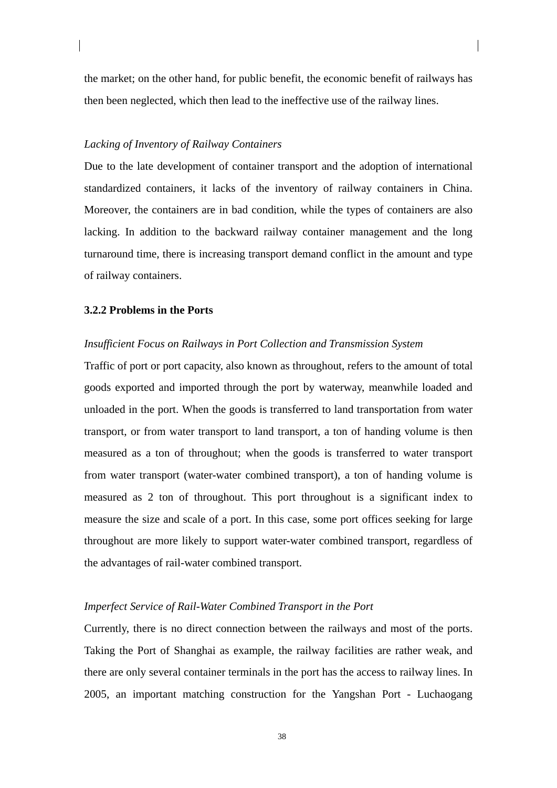the market; on the other hand, for public benefit, the economic benefit of railways has then been neglected, which then lead to the ineffective use of the railway lines.

## *Lacking of Inventory of Railway Containers*

Due to the late development of container transport and the adoption of international standardized containers, it lacks of the inventory of railway containers in China. Moreover, the containers are in bad condition, while the types of containers are also lacking. In addition to the backward railway container management and the long turnaround time, there is increasing transport demand conflict in the amount and type of railway containers.

# **3.2.2 Problems in the Ports**

#### *Insufficient Focus on Railways in Port Collection and Transmission System*

Traffic of port or port capacity, also known as throughout, refers to the amount of total goods exported and imported through the port by waterway, meanwhile loaded and unloaded in the port. When the goods is transferred to land transportation from water transport, or from water transport to land transport, a ton of handing volume is then measured as a ton of throughout; when the goods is transferred to water transport from water transport (water-water combined transport), a ton of handing volume is measured as 2 ton of throughout. This port throughout is a significant index to measure the size and scale of a port. In this case, some port offices seeking for large throughout are more likely to support water-water combined transport, regardless of the advantages of rail-water combined transport.

#### *Imperfect Service of Rail-Water Combined Transport in the Port*

Currently, there is no direct connection between the railways and most of the ports. Taking the Port of Shanghai as example, the railway facilities are rather weak, and there are only several container terminals in the port has the access to railway lines. In 2005, an important matching construction for the Yangshan Port - Luchaogang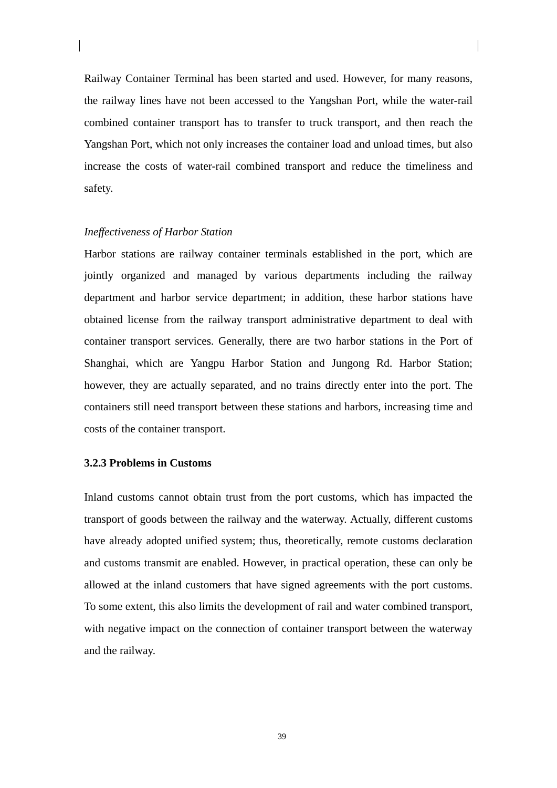Railway Container Terminal has been started and used. However, for many reasons, the railway lines have not been accessed to the Yangshan Port, while the water-rail combined container transport has to transfer to truck transport, and then reach the Yangshan Port, which not only increases the container load and unload times, but also increase the costs of water-rail combined transport and reduce the timeliness and safety.

#### *Ineffectiveness of Harbor Station*

Harbor stations are railway container terminals established in the port, which are jointly organized and managed by various departments including the railway department and harbor service department; in addition, these harbor stations have obtained license from the railway transport administrative department to deal with container transport services. Generally, there are two harbor stations in the Port of Shanghai, which are Yangpu Harbor Station and Jungong Rd. Harbor Station; however, they are actually separated, and no trains directly enter into the port. The containers still need transport between these stations and harbors, increasing time and costs of the container transport.

#### **3.2.3 Problems in Customs**

Inland customs cannot obtain trust from the port customs, which has impacted the transport of goods between the railway and the waterway. Actually, different customs have already adopted unified system; thus, theoretically, remote customs declaration and customs transmit are enabled. However, in practical operation, these can only be allowed at the inland customers that have signed agreements with the port customs. To some extent, this also limits the development of rail and water combined transport, with negative impact on the connection of container transport between the waterway and the railway.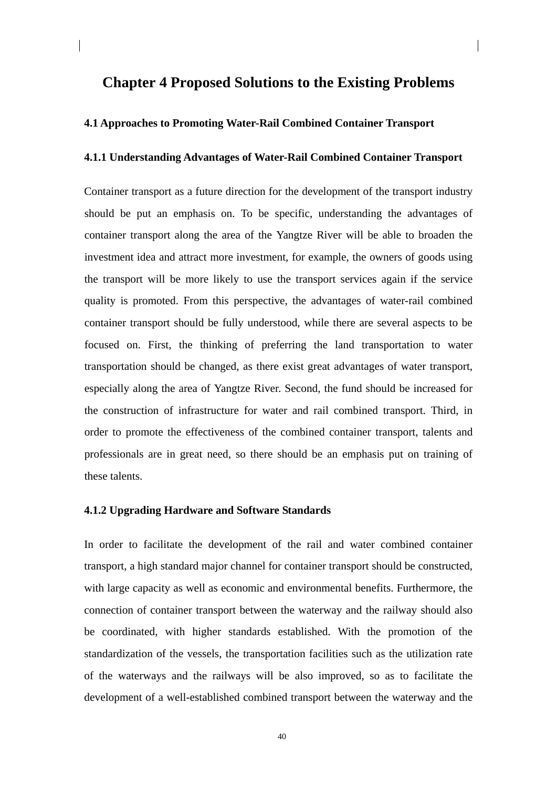# **Chapter 4 Proposed Solutions to the Existing Problems**

# **4.1 Approaches to Promoting Water-Rail Combined Container Transport**

### **4.1.1 Understanding Advantages of Water-Rail Combined Container Transport**

Container transport as a future direction for the development of the transport industry should be put an emphasis on. To be specific, understanding the advantages of container transport along the area of the Yangtze River will be able to broaden the investment idea and attract more investment, for example, the owners of goods using the transport will be more likely to use the transport services again if the service quality is promoted. From this perspective, the advantages of water-rail combined container transport should be fully understood, while there are several aspects to be focused on. First, the thinking of preferring the land transportation to water transportation should be changed, as there exist great advantages of water transport, especially along the area of Yangtze River. Second, the fund should be increased for the construction of infrastructure for water and rail combined transport. Third, in order to promote the effectiveness of the combined container transport, talents and professionals are in great need, so there should be an emphasis put on training of these talents.

#### **4.1.2 Upgrading Hardware and Software Standards**

In order to facilitate the development of the rail and water combined container transport, a high standard major channel for container transport should be constructed, with large capacity as well as economic and environmental benefits. Furthermore, the connection of container transport between the waterway and the railway should also be coordinated, with higher standards established. With the promotion of the standardization of the vessels, the transportation facilities such as the utilization rate of the waterways and the railways will be also improved, so as to facilitate the development of a well-established combined transport between the waterway and the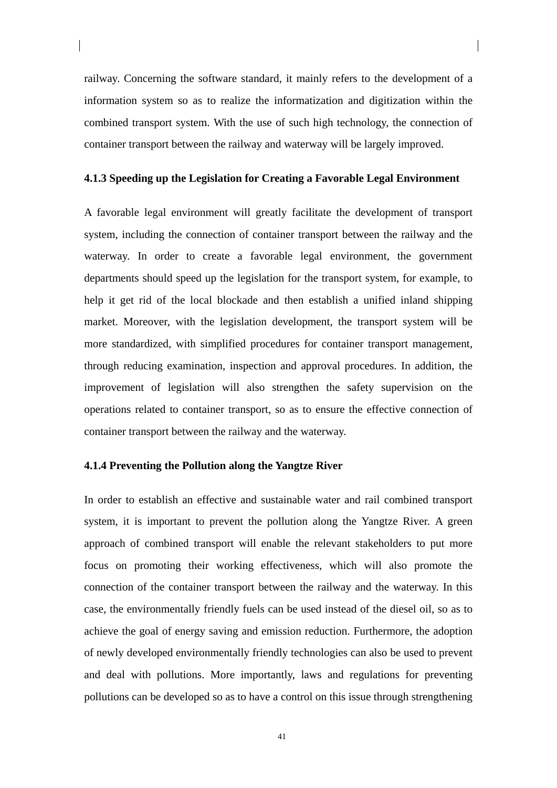railway. Concerning the software standard, it mainly refers to the development of a information system so as to realize the informatization and digitization within the combined transport system. With the use of such high technology, the connection of container transport between the railway and waterway will be largely improved.

# **4.1.3 Speeding up the Legislation for Creating a Favorable Legal Environment**

A favorable legal environment will greatly facilitate the development of transport system, including the connection of container transport between the railway and the waterway. In order to create a favorable legal environment, the government departments should speed up the legislation for the transport system, for example, to help it get rid of the local blockade and then establish a unified inland shipping market. Moreover, with the legislation development, the transport system will be more standardized, with simplified procedures for container transport management, through reducing examination, inspection and approval procedures. In addition, the improvement of legislation will also strengthen the safety supervision on the operations related to container transport, so as to ensure the effective connection of container transport between the railway and the waterway.

# **4.1.4 Preventing the Pollution along the Yangtze River**

In order to establish an effective and sustainable water and rail combined transport system, it is important to prevent the pollution along the Yangtze River. A green approach of combined transport will enable the relevant stakeholders to put more focus on promoting their working effectiveness, which will also promote the connection of the container transport between the railway and the waterway. In this case, the environmentally friendly fuels can be used instead of the diesel oil, so as to achieve the goal of energy saving and emission reduction. Furthermore, the adoption of newly developed environmentally friendly technologies can also be used to prevent and deal with pollutions. More importantly, laws and regulations for preventing pollutions can be developed so as to have a control on this issue through strengthening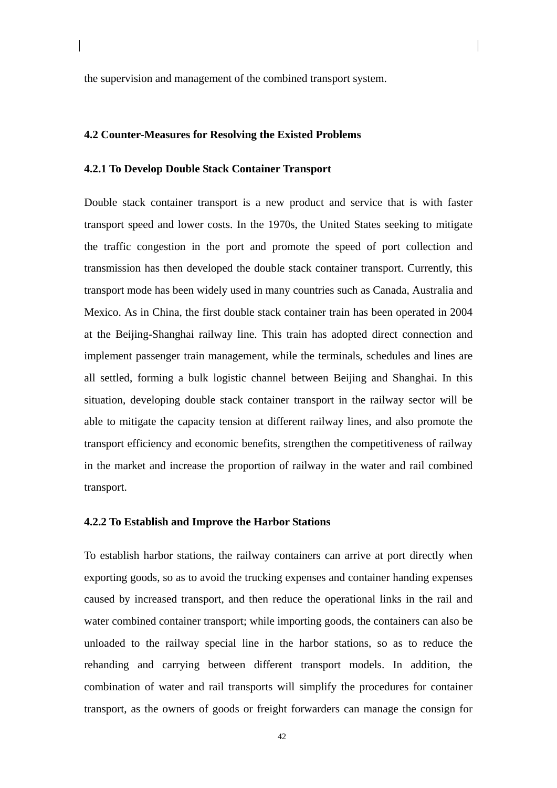the supervision and management of the combined transport system.

# **4.2 Counter-Measures for Resolving the Existed Problems**

# **4.2.1 To Develop Double Stack Container Transport**

Double stack container transport is a new product and service that is with faster transport speed and lower costs. In the 1970s, the United States seeking to mitigate the traffic congestion in the port and promote the speed of port collection and transmission has then developed the double stack container transport. Currently, this transport mode has been widely used in many countries such as Canada, Australia and Mexico. As in China, the first double stack container train has been operated in 2004 at the Beijing-Shanghai railway line. This train has adopted direct connection and implement passenger train management, while the terminals, schedules and lines are all settled, forming a bulk logistic channel between Beijing and Shanghai. In this situation, developing double stack container transport in the railway sector will be able to mitigate the capacity tension at different railway lines, and also promote the transport efficiency and economic benefits, strengthen the competitiveness of railway in the market and increase the proportion of railway in the water and rail combined transport.

## **4.2.2 To Establish and Improve the Harbor Stations**

To establish harbor stations, the railway containers can arrive at port directly when exporting goods, so as to avoid the trucking expenses and container handing expenses caused by increased transport, and then reduce the operational links in the rail and water combined container transport; while importing goods, the containers can also be unloaded to the railway special line in the harbor stations, so as to reduce the rehanding and carrying between different transport models. In addition, the combination of water and rail transports will simplify the procedures for container transport, as the owners of goods or freight forwarders can manage the consign for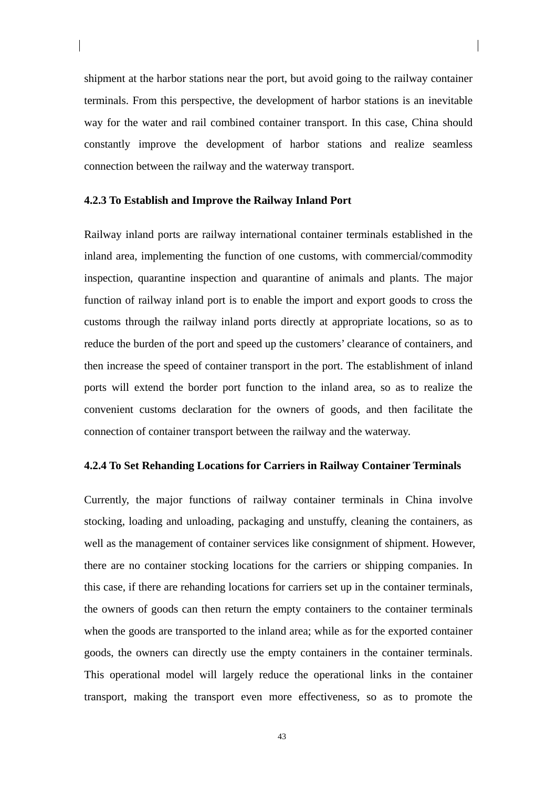shipment at the harbor stations near the port, but avoid going to the railway container terminals. From this perspective, the development of harbor stations is an inevitable way for the water and rail combined container transport. In this case, China should constantly improve the development of harbor stations and realize seamless connection between the railway and the waterway transport.

# **4.2.3 To Establish and Improve the Railway Inland Port**

Railway inland ports are railway international container terminals established in the inland area, implementing the function of one customs, with commercial/commodity inspection, quarantine inspection and quarantine of animals and plants. The major function of railway inland port is to enable the import and export goods to cross the customs through the railway inland ports directly at appropriate locations, so as to reduce the burden of the port and speed up the customers' clearance of containers, and then increase the speed of container transport in the port. The establishment of inland ports will extend the border port function to the inland area, so as to realize the convenient customs declaration for the owners of goods, and then facilitate the connection of container transport between the railway and the waterway.

# **4.2.4 To Set Rehanding Locations for Carriers in Railway Container Terminals**

Currently, the major functions of railway container terminals in China involve stocking, loading and unloading, packaging and unstuffy, cleaning the containers, as well as the management of container services like consignment of shipment. However, there are no container stocking locations for the carriers or shipping companies. In this case, if there are rehanding locations for carriers set up in the container terminals, the owners of goods can then return the empty containers to the container terminals when the goods are transported to the inland area; while as for the exported container goods, the owners can directly use the empty containers in the container terminals. This operational model will largely reduce the operational links in the container transport, making the transport even more effectiveness, so as to promote the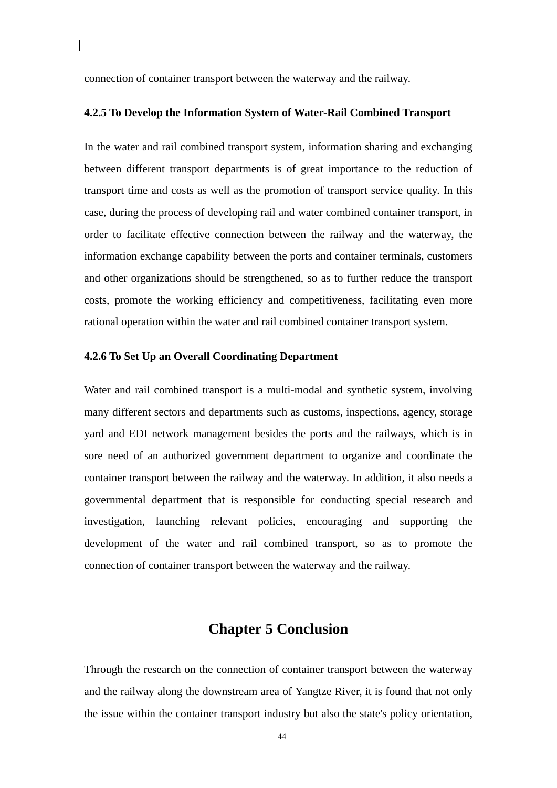connection of container transport between the waterway and the railway.

## **4.2.5 To Develop the Information System of Water-Rail Combined Transport**

In the water and rail combined transport system, information sharing and exchanging between different transport departments is of great importance to the reduction of transport time and costs as well as the promotion of transport service quality. In this case, during the process of developing rail and water combined container transport, in order to facilitate effective connection between the railway and the waterway, the information exchange capability between the ports and container terminals, customers and other organizations should be strengthened, so as to further reduce the transport costs, promote the working efficiency and competitiveness, facilitating even more rational operation within the water and rail combined container transport system.

# **4.2.6 To Set Up an Overall Coordinating Department**

Water and rail combined transport is a multi-modal and synthetic system, involving many different sectors and departments such as customs, inspections, agency, storage yard and EDI network management besides the ports and the railways, which is in sore need of an authorized government department to organize and coordinate the container transport between the railway and the waterway. In addition, it also needs a governmental department that is responsible for conducting special research and investigation, launching relevant policies, encouraging and supporting the development of the water and rail combined transport, so as to promote the connection of container transport between the waterway and the railway.

# **Chapter 5 Conclusion**

Through the research on the connection of container transport between the waterway and the railway along the downstream area of Yangtze River, it is found that not only the issue within the container transport industry but also the state's policy orientation,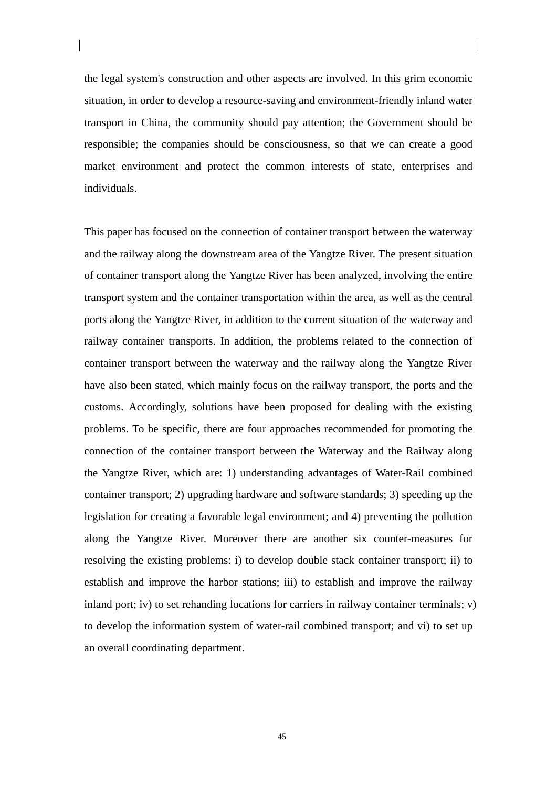the legal system's construction and other aspects are involved. In this grim economic situation, in order to develop a resource-saving and environment-friendly inland water transport in China, the community should pay attention; the Government should be responsible; the companies should be consciousness, so that we can create a good market environment and protect the common interests of state, enterprises and individuals.

This paper has focused on the connection of container transport between the waterway and the railway along the downstream area of the Yangtze River. The present situation of container transport along the Yangtze River has been analyzed, involving the entire transport system and the container transportation within the area, as well as the central ports along the Yangtze River, in addition to the current situation of the waterway and railway container transports. In addition, the problems related to the connection of container transport between the waterway and the railway along the Yangtze River have also been stated, which mainly focus on the railway transport, the ports and the customs. Accordingly, solutions have been proposed for dealing with the existing problems. To be specific, there are four approaches recommended for promoting the connection of the container transport between the Waterway and the Railway along the Yangtze River, which are: 1) understanding advantages of Water-Rail combined container transport; 2) upgrading hardware and software standards; 3) speeding up the legislation for creating a favorable legal environment; and 4) preventing the pollution along the Yangtze River. Moreover there are another six counter-measures for resolving the existing problems: i) to develop double stack container transport; ii) to establish and improve the harbor stations; iii) to establish and improve the railway inland port; iv) to set rehanding locations for carriers in railway container terminals; v) to develop the information system of water-rail combined transport; and vi) to set up an overall coordinating department.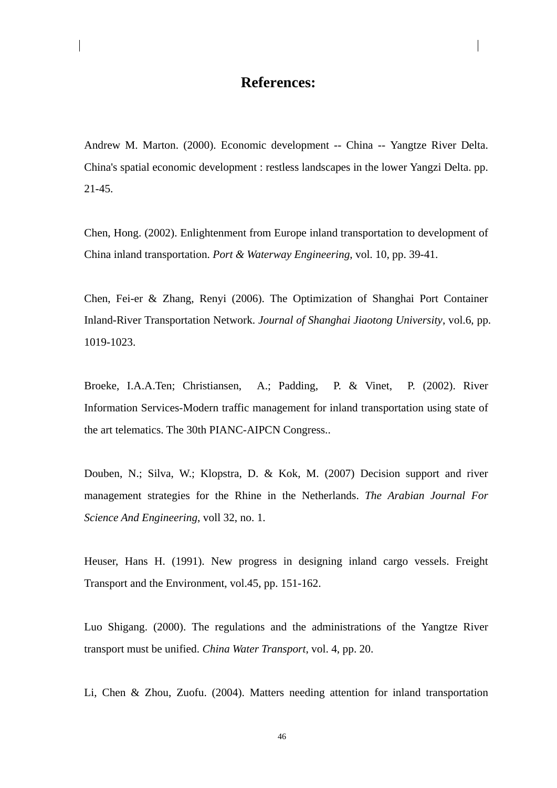# **References:**

Andrew M. Marton. (2000). Economic development -- China -- Yangtze River Delta. China's spatial economic development : restless landscapes in the lower Yangzi Delta. pp. 21-45.

Chen, Hong. (2002). Enlightenment from Europe inland transportation to development of China inland transportation. *Port & Waterway Engineering*, vol. 10, pp. 39-41.

Chen, Fei-er & Zhang, Renyi (2006). The Optimization of Shanghai Port Container Inland-River Transportation Network. *Journal of Shanghai Jiaotong University*, vol.6, pp. 1019-1023.

Broeke, I.A.A.Ten; Christiansen, A.; Padding, P. & Vinet, P. (2002). River Information Services-Modern traffic management for inland transportation using state of the art telematics. The 30th PIANC-AIPCN Congress..

Douben, N.; Silva, W.; Klopstra, D. & Kok, M. (2007) Decision support and river management strategies for the Rhine in the Netherlands. *The Arabian Journal For Science And Engineering*, voll 32, no. 1.

Heuser, Hans H. (1991). New progress in designing inland cargo vessels. Freight Transport and the Environment, vol.45, pp. 151-162.

Luo Shigang. (2000). The regulations and the administrations of the Yangtze River transport must be unified. *China Water Transport*, vol. 4, pp. 20.

Li, Chen & Zhou, Zuofu. (2004). Matters needing attention for inland transportation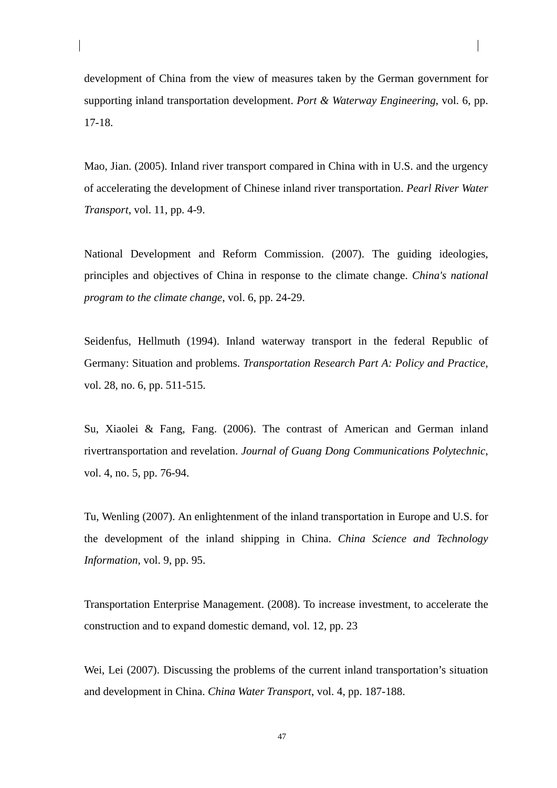development of China from the view of measures taken by the German government for supporting inland transportation development. *Port & Waterway Engineering*, vol. 6, pp. 17-18.

Mao, Jian. (2005). Inland river transport compared in China with in U.S. and the urgency of accelerating the development of Chinese inland river transportation. *Pearl River Water Transport*, vol. 11, pp. 4-9.

National Development and Reform Commission. (2007). The guiding ideologies, principles and objectives of China in response to the climate change. *China's national program to the climate change*, vol. 6, pp. 24-29.

Seidenfus, Hellmuth (1994). Inland waterway transport in the federal Republic of Germany: Situation and problems. *Transportation Research Part A: Policy and Practice*, vol. 28, no. 6, pp. 511-515.

Su, Xiaolei & Fang, Fang. (2006). The contrast of American and German inland rivertransportation and revelation. *Journal of Guang Dong Communications Polytechnic*, vol. 4, no. 5, pp. 76-94.

Tu, Wenling (2007). An enlightenment of the inland transportation in Europe and U.S. for the development of the inland shipping in China. *China Science and Technology Information*, vol. 9, pp. 95.

Transportation Enterprise Management. (2008). To increase investment, to accelerate the construction and to expand domestic demand, vol. 12, pp. 23

Wei, Lei (2007). Discussing the problems of the current inland transportation's situation and development in China. *China Water Transport*, vol. 4, pp. 187-188.